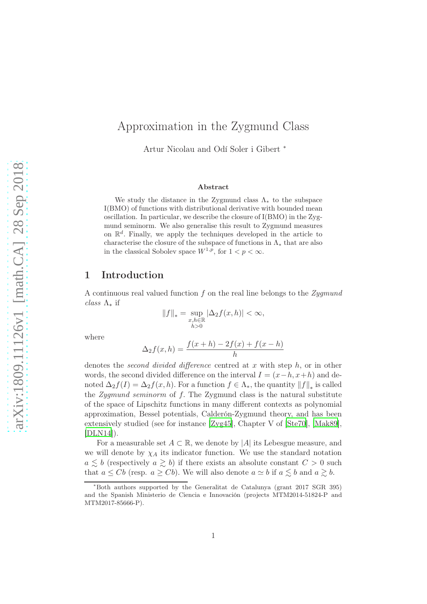# Approximation in the Zygmund Class

Artur Nicolau and Odí Soler i Gibert <sup>∗</sup>

#### Abstract

We study the distance in the Zygmund class  $\Lambda_*$  to the subspace I(BMO) of functions with distributional derivative with bounded mean oscillation. In particular, we describe the closure of I(BMO) in the Zygmund seminorm. We also generalise this result to Zygmund measures on  $\mathbb{R}^d$ . Finally, we apply the techniques developed in the article to characterise the closure of the subspace of functions in  $\Lambda_*$  that are also in the classical Sobolev space  $W^{1,p}$ , for  $1 < p < \infty$ .

### 1 Introduction

A continuous real valued function  $f$  on the real line belongs to the  $Zygmund$ class  $\Lambda_*$  if

$$
||f||_* = \sup_{\substack{x,h \in \mathbb{R} \\ h>0}} |\Delta_2 f(x,h)| < \infty,
$$

where

$$
\Delta_2 f(x, h) = \frac{f(x + h) - 2f(x) + f(x - h)}{h}
$$

denotes the *second divided difference* centred at x with step  $h$ , or in other words, the second divided difference on the interval  $I = (x-h, x+h)$  and denoted  $\Delta_2 f(I) = \Delta_2 f(x, h)$ . For a function  $f \in \Lambda_*$ , the quantity  $||f||_*$  is called the Zygmund seminorm of  $f$ . The Zygmund class is the natural substitute of the space of Lipschitz functions in many different contexts as polynomial approximation, Bessel potentials, Calderón-Zygmund theory, and has been extensively studied (see for instance [\[Zyg45](#page-26-0)], Chapter V of [\[Ste70](#page-26-1)], [\[Mak89](#page-25-0)],  $[DLN14]$ .

For a measurable set  $A \subset \mathbb{R}$ , we denote by |A| its Lebesgue measure, and we will denote by  $\chi_A$  its indicator function. We use the standard notation  $a \lesssim b$  (respectively  $a \gtrsim b$ ) if there exists an absolute constant  $C > 0$  such that  $a \leq Cb$  (resp.  $a \geq Cb$ ). We will also denote  $a \simeq b$  if  $a \lesssim b$  and  $a \gtrsim b$ .

<sup>∗</sup>Both authors supported by the Generalitat de Catalunya (grant 2017 SGR 395) and the Spanish Ministerio de Ciencia e Innovación (projects MTM2014-51824-P and MTM2017-85666-P).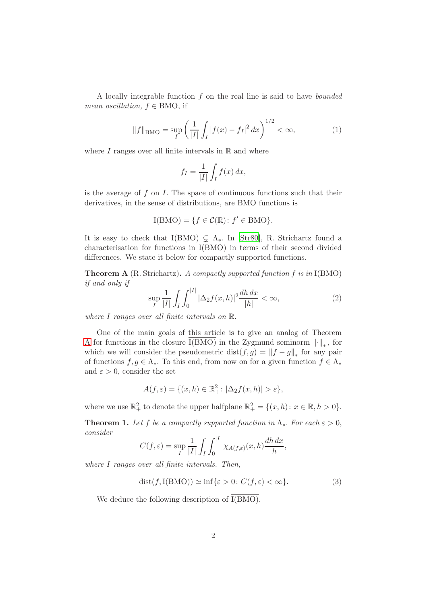A locally integrable function f on the real line is said to have bounded mean oscillation,  $f \in BMO$ , if

<span id="page-1-3"></span>
$$
||f||_{\text{BMO}} = \sup_{I} \left( \frac{1}{|I|} \int_{I} |f(x) - f_I|^2 \, dx \right)^{1/2} < \infty,\tag{1}
$$

where  $I$  ranges over all finite intervals in  $\mathbb R$  and where

$$
f_I = \frac{1}{|I|} \int_I f(x) \, dx,
$$

is the average of f on I. The space of continuous functions such that their derivatives, in the sense of distributions, are BMO functions is

$$
I(BMO) = \{ f \in \mathcal{C}(\mathbb{R}) : f' \in BMO \}.
$$

It is easy to check that I(BMO)  $\subseteq \Lambda_*$ . In [\[Str80](#page-26-2)], R. Strichartz found a characterisation for functions in I(BMO) in terms of their second divided differences. We state it below for compactly supported functions.

<span id="page-1-0"></span>**Theorem A** (R. Strichartz). A compactly supported function f is in  $I(BMO)$ if and only if

$$
\sup_{I} \frac{1}{|I|} \int_{I} \int_{0}^{|I|} |\Delta_2 f(x, h)|^2 \frac{dh \, dx}{|h|} < \infty,\tag{2}
$$

where I ranges over all finite intervals on R.

One of the main goals of this article is to give an analog of Theorem [A](#page-1-0) for functions in the closure I(BMO) in the Zygmund seminorm  $\lVert \cdot \rVert_*$ , for which we will consider the pseudometric  $dist(f, g) = ||f - g||_*$  for any pair of functions  $f, g \in \Lambda_*$ . To this end, from now on for a given function  $f \in \Lambda_*$ and  $\varepsilon > 0$ , consider the set

$$
A(f, \varepsilon) = \{ (x, h) \in \mathbb{R}_+^2 : |\Delta_2 f(x, h)| > \varepsilon \},
$$

where we use  $\mathbb{R}^2_+$  to denote the upper halfplane  $\mathbb{R}^2_+ = \{(x, h): x \in \mathbb{R}, h > 0\}.$ 

<span id="page-1-1"></span>**Theorem 1.** Let f be a compactly supported function in  $\Lambda_*$ . For each  $\varepsilon > 0$ , consider

$$
C(f,\varepsilon) = \sup_I \frac{1}{|I|} \int_I \int_0^{|I|} \chi_{A(f,\varepsilon)}(x,h) \frac{dh\,dx}{h},
$$

where I ranges over all finite intervals. Then,

<span id="page-1-2"></span>
$$
dist(f, I(BMO)) \simeq \inf \{ \varepsilon > 0 : C(f, \varepsilon) < \infty \}. \tag{3}
$$

We deduce the following description of  $\overline{I(BMO)}$ .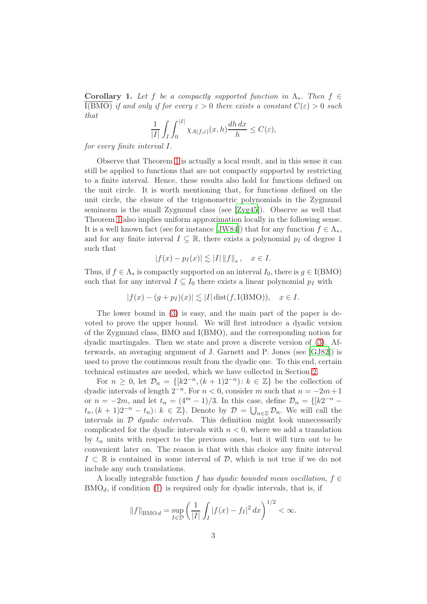**Corollary 1.** Let f be a compactly supported function in  $\Lambda_*$ . Then  $f \in$ I(BMO) if and only if for every  $\varepsilon > 0$  there exists a constant  $C(\varepsilon) > 0$  such that

$$
\frac{1}{|I|} \int_I \int_0^{|I|} \chi_{A(f,\varepsilon)}(x,h) \frac{dh \, dx}{h} \le C(\varepsilon),
$$

for every finite interval I.

Observe that Theorem [1](#page-1-1) is actually a local result, and in this sense it can still be applied to functions that are not compactly supported by restricting to a finite interval. Hence, these results also hold for functions defined on the unit circle. It is worth mentioning that, for functions defined on the unit circle, the closure of the trigonometric polynomials in the Zygmund seminorm is the small Zygmund class (see [\[Zyg45\]](#page-26-0)). Observe as well that Theorem [1](#page-1-1) also implies uniform approximation locally in the following sense. It is a well known fact (see for instance [\[JW84](#page-25-2)]) that for any function  $f \in \Lambda_*$ , and for any finite interval  $I \subseteq \mathbb{R}$ , there exists a polynomial  $p_I$  of degree 1 such that

$$
|f(x) - p_I(x)| \lesssim |I| \|f\|_*, \quad x \in I.
$$

Thus, if  $f \in \Lambda_*$  is compactly supported on an interval  $I_0$ , there is  $g \in I(BMO)$ such that for any interval  $I \subseteq I_0$  there exists a linear polynomial  $p_I$  with

 $|f(x) - (g + p_I)(x)| \lesssim |I| \text{dist}(f, I(BMO)), \quad x \in I.$ 

The lower bound in [\(3\)](#page-1-2) is easy, and the main part of the paper is devoted to prove the upper bound. We will first introduce a dyadic version of the Zygmund class, BMO and I(BMO), and the corresponding notion for dyadic martingales. Then we state and prove a discrete version of [\(3\)](#page-1-2). Afterwards, an averaging argument of J. Garnett and P. Jones (see [\[GJ82](#page-25-3)]) is used to prove the continuous result from the dyadic one. To this end, certain technical estimates are needed, which we have collected in Section [2.](#page-5-0)

For  $n \geq 0$ , let  $\mathcal{D}_n = \{ [k2^{-n}, (k+1)2^{-n}] : k \in \mathbb{Z} \}$  be the collection of dyadic intervals of length  $2^{-n}$ . For  $n < 0$ , consider m such that  $n = -2m + 1$ or  $n = -2m$ , and let  $t_n = (4^m - 1)/3$ . In this case, define  $\mathcal{D}_n = \{ [k2^{-n} - 1]$  $t_n, (k+1)2^{-n} - t_n$ :  $k \in \mathbb{Z}$ . Denote by  $\mathcal{D} = \bigcup_{n \in \mathbb{Z}} \mathcal{D}_n$ . We will call the intervals in  $\mathcal D$  *dyadic intervals*. This definition might look unnecessarily complicated for the dyadic intervals with  $n < 0$ , where we add a translation by  $t_n$  units with respect to the previous ones, but it will turn out to be convenient later on. The reason is that with this choice any finite interval  $I \subset \mathbb{R}$  is contained in some interval of  $\mathcal{D}$ , which is not true if we do not include any such translations.

A locally integrable function f has dyadic bounded mean oscillation,  $f \in$  $BMO<sub>d</sub>$ , if condition [\(1\)](#page-1-3) is required only for dyadic intervals, that is, if

$$
||f||_{\text{BMO }d} = \sup_{I \in \mathcal{D}} \left( \frac{1}{|I|} \int_I |f(x) - f_I|^2 \, dx \right)^{1/2} < \infty.
$$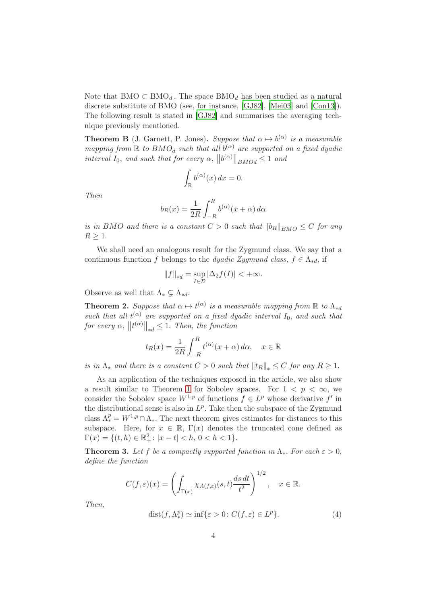Note that  $BMO \subset BMO_d$ . The space  $BMO_d$  has been studied as a natural discrete substitute of BMO (see, for instance, [\[GJ82](#page-25-3)], [\[Mei03](#page-25-4)] and [\[Con13](#page-25-5)]). The following result is stated in [\[GJ82](#page-25-3)] and summarises the averaging technique previously mentioned.

<span id="page-3-2"></span>**Theorem B** (J. Garnett, P. Jones). Suppose that  $\alpha \mapsto b^{(\alpha)}$  is a measurable mapping from  $\mathbb R$  to  $BMO_d$  such that all  $b^{(\alpha)}$  are supported on a fixed dyadic interval  $I_0$ , and such that for every  $\alpha$ ,  $||b^{(\alpha)}||_{BMOd} \leq 1$  and

$$
\int_{\mathbb{R}} b^{(\alpha)}(x) \, dx = 0.
$$

Then

$$
b_R(x) = \frac{1}{2R} \int_{-R}^{R} b^{(\alpha)}(x + \alpha) d\alpha
$$

is in BMO and there is a constant  $C > 0$  such that  $||b_R||_{BMO} \leq C$  for any  $R > 1$ .

We shall need an analogous result for the Zygmund class. We say that a continuous function f belongs to the dyadic Zygmund class,  $f \in \Lambda_{*d}$ , if

$$
||f||_{*d} = \sup_{I \in \mathcal{D}} |\Delta_2 f(I)| < +\infty.
$$

Observe as well that  $\Lambda_* \subsetneq \Lambda_{*d}$ .

<span id="page-3-0"></span>**Theorem 2.** Suppose that  $\alpha \mapsto t^{(\alpha)}$  is a measurable mapping from  $\mathbb R$  to  $\Lambda_{*d}$ such that all  $t^{(\alpha)}$  are supported on a fixed dyadic interval  $I_0$ , and such that for every  $\alpha$ ,  $||t^{(\alpha)}||_{*d} \leq 1$ . Then, the function

$$
t_R(x) = \frac{1}{2R} \int_{-R}^{R} t^{(\alpha)}(x + \alpha) d\alpha, \quad x \in \mathbb{R}
$$

is in  $\Lambda_*$  and there is a constant  $C > 0$  such that  $||t_R||_* \leq C$  for any  $R \geq 1$ .

As an application of the techniques exposed in the article, we also show a result similar to Theorem [1](#page-1-1) for Sobolev spaces. For  $1 \leq p \leq \infty$ , we consider the Sobolev space  $W^{1,p}$  of functions  $f \in L^p$  whose derivative  $f'$  in the distributional sense is also in  $L^p$ . Take then the subspace of the Zygmund class  $\Lambda_*^p = W^{1,p} \cap \Lambda_*$ . The next theorem gives estimates for distances to this subspace. Here, for  $x \in \mathbb{R}$ ,  $\Gamma(x)$  denotes the truncated cone defined as  $\Gamma(x) = \{(t, h) \in \mathbb{R}^2_+ : |x - t| < h, \, 0 < h < 1\}.$ 

<span id="page-3-1"></span>**Theorem 3.** Let f be a compactly supported function in  $\Lambda_*$ . For each  $\varepsilon > 0$ , define the function

$$
C(f,\varepsilon)(x) = \left(\int_{\Gamma(x)} \chi_{A(f,\varepsilon)}(s,t) \frac{ds \, dt}{t^2}\right)^{1/2}, \quad x \in \mathbb{R}.
$$

Then,

<span id="page-3-3"></span>
$$
dist(f, \Lambda_*^p) \simeq \inf \{ \varepsilon > 0 \colon C(f, \varepsilon) \in L^p \}. \tag{4}
$$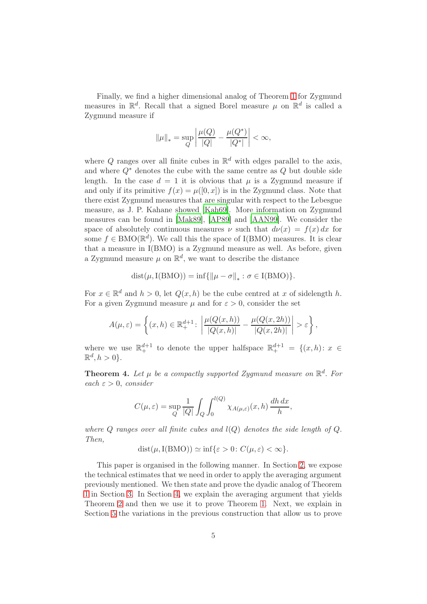Finally, we find a higher dimensional analog of Theorem [1](#page-1-1) for Zygmund measures in  $\mathbb{R}^d$ . Recall that a signed Borel measure  $\mu$  on  $\mathbb{R}^d$  is called a Zygmund measure if

$$
\|\mu\|_{*} = \sup_{Q} \left| \frac{\mu(Q)}{|Q|} - \frac{\mu(Q^{*})}{|Q^{*}|} \right| < \infty,
$$

where Q ranges over all finite cubes in  $\mathbb{R}^d$  with edges parallel to the axis, and where  $Q^*$  denotes the cube with the same centre as  $Q$  but double side length. In the case  $d = 1$  it is obvious that  $\mu$  is a Zygmund measure if and only if its primitive  $f(x) = \mu([0, x])$  is in the Zygmund class. Note that there exist Zygmund measures that are singular with respect to the Lebesgue measure, as J. P. Kahane showed [\[Kah69\]](#page-25-6). More information on Zygmund measures can be found in [\[Mak89\]](#page-25-0), [\[AP89\]](#page-24-0) and [\[AAN99\]](#page-24-1). We consider the space of absolutely continuous measures  $\nu$  such that  $d\nu(x) = f(x) dx$  for some  $f \in \text{BMO}(\mathbb{R}^d)$ . We call this the space of I(BMO) measures. It is clear that a measure in I(BMO) is a Zygmund measure as well. As before, given a Zygmund measure  $\mu$  on  $\mathbb{R}^d$ , we want to describe the distance

$$
dist(\mu, I(BMO)) = \inf \{ ||\mu - \sigma||_* : \sigma \in I(BMO) \}.
$$

For  $x \in \mathbb{R}^d$  and  $h > 0$ , let  $Q(x, h)$  be the cube centred at x of sidelength h. For a given Zygmund measure  $\mu$  and for  $\varepsilon > 0$ , consider the set

$$
A(\mu,\varepsilon) = \left\{ (x,h) \in \mathbb{R}^{d+1}_+ : \left| \frac{\mu(Q(x,h))}{|Q(x,h)|} - \frac{\mu(Q(x,2h))}{|Q(x,2h)|} \right| > \varepsilon \right\},\,
$$

where we use  $\mathbb{R}^{d+1}_+$  to denote the upper halfspace  $\mathbb{R}^{d+1}_+ = \{(x,h): x \in$  $\mathbb{R}^d, h > 0$ .

<span id="page-4-0"></span>**Theorem 4.** Let  $\mu$  be a compactly supported Zygmund measure on  $\mathbb{R}^d$ . For each  $\varepsilon > 0$ , consider

$$
C(\mu, \varepsilon) = \sup_{Q} \frac{1}{|Q|} \int_{Q} \int_{0}^{l(Q)} \chi_{A(\mu, \varepsilon)}(x, h) \frac{dh dx}{h},
$$

where Q ranges over all finite cubes and  $l(Q)$  denotes the side length of Q. Then,

 $dist(\mu, I(BMO)) \simeq \inf\{\varepsilon > 0: C(\mu, \varepsilon) < \infty\}.$ 

This paper is organised in the following manner. In Section [2,](#page-5-0) we expose the technical estimates that we need in order to apply the averaging argument previously mentioned. We then state and prove the dyadic analog of Theorem [1](#page-1-1) in Section [3.](#page-6-0) In Section [4,](#page-9-0) we explain the averaging argument that yields Theorem [2](#page-3-0) and then we use it to prove Theorem [1.](#page-1-1) Next, we explain in Section [5](#page-14-0) the variations in the previous construction that allow us to prove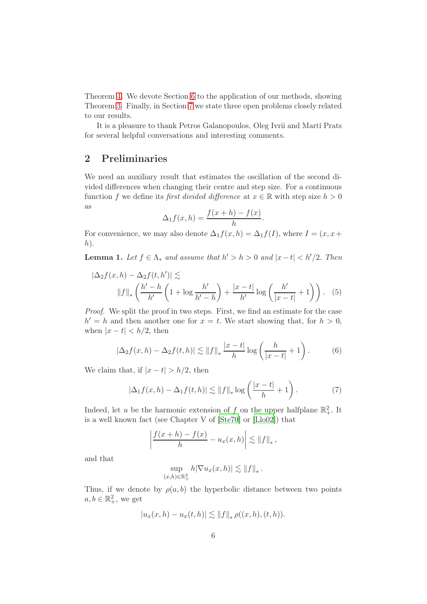Theorem [4.](#page-4-0) We devote Section [6](#page-21-0) to the application of our methods, showing Theorem [3.](#page-3-1) Finally, in Section [7](#page-23-0) we state three open problems closely related to our results.

It is a pleasure to thank Petros Galanopoulos, Oleg Ivrii and Martí Prats for several helpful conversations and interesting comments.

## <span id="page-5-0"></span>2 Preliminaries

We need an auxiliary result that estimates the oscillation of the second divided differences when changing their centre and step size. For a continuous function f we define its first divided difference at  $x \in \mathbb{R}$  with step size  $h > 0$ as

<span id="page-5-3"></span>
$$
\Delta_1 f(x, h) = \frac{f(x+h) - f(x)}{h}.
$$

For convenience, we may also denote  $\Delta_1 f(x, h) = \Delta_1 f(I)$ , where  $I = (x, x +$  $h$ ).

<span id="page-5-4"></span>**Lemma 1.** Let  $f \in \Lambda_*$  and assume that  $h' > h > 0$  and  $|x - t| < h'/2$ . Then

$$
\left|\Delta_2 f(x, h) - \Delta_2 f(t, h')\right| \lesssim
$$

$$
\|f\|_* \left(\frac{h' - h}{h'} \left(1 + \log \frac{h'}{h' - h}\right) + \frac{|x - t|}{h'} \log \left(\frac{h'}{|x - t|} + 1\right)\right). \tag{5}
$$

Proof. We split the proof in two steps. First, we find an estimate for the case  $h' = h$  and then another one for  $x = t$ . We start showing that, for  $h > 0$ , when  $|x-t| < h/2$ , then

<span id="page-5-2"></span>
$$
\left|\Delta_2 f(x,h) - \Delta_2 f(t,h)\right| \lesssim \|f\|_{*} \frac{|x-t|}{h} \log\left(\frac{h}{|x-t|} + 1\right). \tag{6}
$$

We claim that, if  $|x-t| > h/2$ , then

<span id="page-5-1"></span>
$$
|\Delta_1 f(x, h) - \Delta_1 f(t, h)| \lesssim ||f||_* \log \left(\frac{|x - t|}{h} + 1\right). \tag{7}
$$

Indeed, let u be the harmonic extension of f on the upper halfplane  $\mathbb{R}^2_+$ . It is a well known fact (see Chapter V of [\[Ste70](#page-26-1)] or [\[Llo02](#page-25-7)]) that

$$
\left|\frac{f(x+h)-f(x)}{h}-u_x(x,h)\right|\lesssim \|f\|_{*},
$$

and that

$$
\sup_{(x,h)\in\mathbb{R}^2_+} h|\nabla u_x(x,h)| \lesssim ||f||_*.
$$

Thus, if we denote by  $\rho(a, b)$  the hyperbolic distance between two points  $a, b \in \mathbb{R}^2_+,$  we get

$$
|u_x(x,h) - u_x(t,h)| \lesssim ||f||_* \rho((x,h),(t,h)).
$$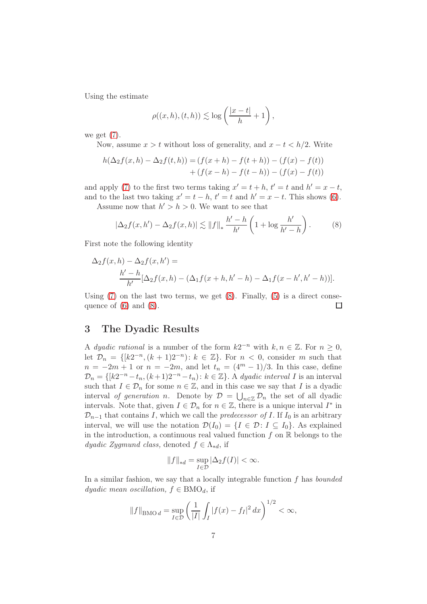Using the estimate

$$
\rho((x,h),(t,h)) \lesssim \log\left(\frac{|x-t|}{h}+1\right),\,
$$

we get  $(7)$ .

Now, assume  $x > t$  without loss of generality, and  $x - t < h/2$ . Write

$$
h(\Delta_2 f(x, h) - \Delta_2 f(t, h)) = (f(x + h) - f(t + h)) - (f(x) - f(t))
$$
  
+ 
$$
(f(x - h) - f(t - h)) - (f(x) - f(t))
$$

and apply [\(7\)](#page-5-1) to the first two terms taking  $x' = t + h$ ,  $t' = t$  and  $h' = x - t$ , and to the last two taking  $x' = t - h$ ,  $t' = t$  and  $h' = x - t$ . This shows [\(6\)](#page-5-2). Assume now that  $h' > h > 0$ . We want to see that

<span id="page-6-1"></span>
$$
|\Delta_2 f(x, h') - \Delta_2 f(x, h)| \lesssim ||f||_* \frac{h' - h}{h'} \left(1 + \log \frac{h'}{h' - h}\right). \tag{8}
$$

First note the following identity

$$
\Delta_2 f(x, h) - \Delta_2 f(x, h') =
$$
  

$$
\frac{h' - h}{h'} [\Delta_2 f(x, h) - (\Delta_1 f(x + h, h' - h) - \Delta_1 f(x - h', h' - h))].
$$

Using  $(7)$  on the last two terms, we get  $(8)$ . Finally,  $(5)$  is a direct consequence of  $(6)$  and  $(8)$ . □

## <span id="page-6-0"></span>3 The Dyadic Results

A dyadic rational is a number of the form  $k2^{-n}$  with  $k, n \in \mathbb{Z}$ . For  $n \geq 0$ , let  $\mathcal{D}_n = \{ [k2^{-n}, (k+1)2^{-n}] : k \in \mathbb{Z} \}$ . For  $n < 0$ , consider m such that  $n = -2m + 1$  or  $n = -2m$ , and let  $t_n = (4^m - 1)/3$ . In this case, define  $\mathcal{D}_n = \{ [k2^{-n} - t_n, (k+1)2^{-n} - t_n) : k \in \mathbb{Z} \}$ . A dyadic interval I is an interval such that  $I \in \mathcal{D}_n$  for some  $n \in \mathbb{Z}$ , and in this case we say that I is a dyadic interval of generation n. Denote by  $\mathcal{D} = \bigcup_{n \in \mathbb{Z}} \mathcal{D}_n$  the set of all dyadic intervals. Note that, given  $I \in \mathcal{D}_n$  for  $n \in \mathbb{Z}$ , there is a unique interval  $I^*$  in  $\mathcal{D}_{n-1}$  that contains I, which we call the *predecessor of I*. If I<sub>0</sub> is an arbitrary interval, we will use the notation  $\mathcal{D}(I_0) = \{I \in \mathcal{D} : I \subseteq I_0\}$ . As explained in the introduction, a continuous real valued function  $f$  on  $\mathbb R$  belongs to the dyadic Zygmund class, denoted  $f \in \Lambda_{*d}$ , if

$$
||f||_{*d} = \sup_{I \in \mathcal{D}} |\Delta_2 f(I)| < \infty.
$$

In a similar fashion, we say that a locally integrable function  $f$  has *bounded dyadic mean oscillation,*  $f \in BMO_d$ , if

$$
||f||_{\text{BMO }d} = \sup_{I \in \mathcal{D}} \left( \frac{1}{|I|} \int_I |f(x) - f_I|^2 \, dx \right)^{1/2} < \infty,
$$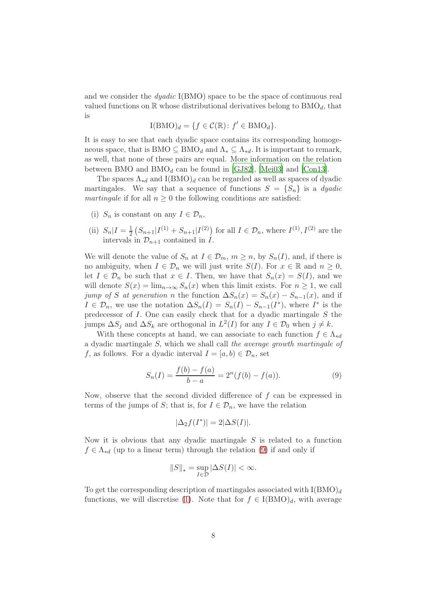and we consider the  $dyadic$  I(BMO) space to be the space of continuous real valued functions on  $\mathbb R$  whose distributional derivatives belong to  $BMO<sub>d</sub>$ , that is

$$
I(BMO)d = \{ f \in \mathcal{C}(\mathbb{R}) : f' \in BMOd \}.
$$

It is easy to see that each dyadic space contains its corresponding homogeneous space, that is BMO  $\subseteq$  BMO<sub>d</sub> and  $\Lambda_* \subseteq \Lambda_{*d}$ . It is important to remark, as well, that none of these pairs are equal. More information on the relation between BMO and  $BMO<sub>d</sub>$  can be found in [\[GJ82\]](#page-25-3), [\[Mei03](#page-25-4)] and [\[Con13](#page-25-5)].

The spaces  $\Lambda_{*d}$  and I(BMO)<sub>d</sub> can be regarded as well as spaces of dyadic martingales. We say that a sequence of functions  $S = \{S_n\}$  is a *dyadic* martingale if for all  $n \geq 0$  the following conditions are satisfied:

- (i)  $S_n$  is constant on any  $I \in \mathcal{D}_n$ ,
- (ii)  $S_n | I = \frac{1}{2}$  $\frac{1}{2}(S_{n+1}|I^{(1)}+S_{n+1}|I^{(2)})$  for all  $I \in \mathcal{D}_n$ , where  $I^{(1)}, I^{(2)}$  are the intervals in  $\mathcal{D}_{n+1}$  contained in  $\hat{I}$ .

We will denote the value of  $S_n$  at  $I \in \mathcal{D}_m$ ,  $m \geq n$ , by  $S_n(I)$ , and, if there is no ambiguity, when  $I \in \mathcal{D}_n$  we will just write  $S(I)$ . For  $x \in \mathbb{R}$  and  $n \geq 0$ , let  $I \in \mathcal{D}_n$  be such that  $x \in I$ . Then, we have that  $S_n(x) = S(I)$ , and we will denote  $S(x) = \lim_{n\to\infty} S_n(x)$  when this limit exists. For  $n \geq 1$ , we call jump of S at generation n the function  $\Delta S_n(x) = S_n(x) - S_{n-1}(x)$ , and if  $I \in \mathcal{D}_n$ , we use the notation  $\Delta S_n(I) = S_n(I) - S_{n-1}(I^*)$ , where  $I^*$  is the predecessor of  $I$ . One can easily check that for a dyadic martingale  $S$  the jumps  $\Delta S_j$  and  $\Delta S_k$  are orthogonal in  $L^2(I)$  for any  $I \in \mathcal{D}_0$  when  $j \neq k$ .

With these concepts at hand, we can associate to each function  $f \in \Lambda_{*d}$ a dyadic martingale S, which we shall call the average growth martingale of f, as follows. For a dyadic interval  $I = [a, b) \in \mathcal{D}_n$ , set

<span id="page-7-0"></span>
$$
S_n(I) = \frac{f(b) - f(a)}{b - a} = 2^n(f(b) - f(a)).
$$
\n(9)

Now, observe that the second divided difference of  $f$  can be expressed in terms of the jumps of S; that is, for  $I \in \mathcal{D}_n$ , we have the relation

$$
|\Delta_2 f(I^*)| = 2|\Delta S(I)|.
$$

Now it is obvious that any dyadic martingale  $S$  is related to a function  $f \in \Lambda_{*d}$  (up to a linear term) through the relation [\(9\)](#page-7-0) if and only if

$$
||S||_* = \sup_{I \in \mathcal{D}} |\Delta S(I)| < \infty.
$$

To get the corresponding description of martingales associated with  $I(BMO)<sub>d</sub>$ functions, we will discretise [\(1\)](#page-1-3). Note that for  $f \in I(BMO)_d$ , with average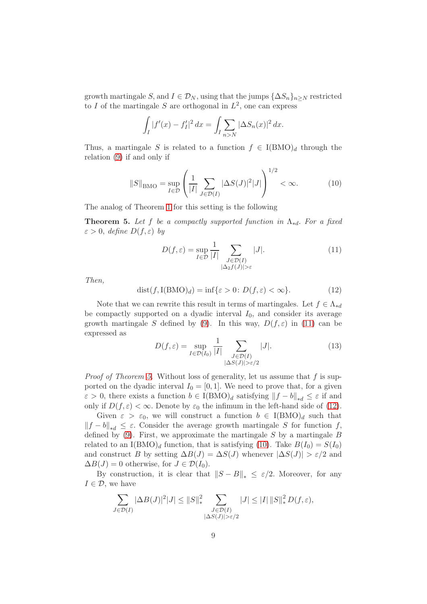growth martingale S, and  $I \in \mathcal{D}_N$ , using that the jumps  $\{\Delta S_n\}_{n \geq N}$  restricted to I of the martingale S are orthogonal in  $L^2$ , one can express

$$
\int_I |f'(x) - f'_I|^2 dx = \int_I \sum_{n > N} |\Delta S_n(x)|^2 dx.
$$

Thus, a martingale S is related to a function  $f \in I(BMO)_d$  through the relation [\(9\)](#page-7-0) if and only if

<span id="page-8-3"></span>
$$
||S||_{\text{BMO}} = \sup_{I \in \mathcal{D}} \left( \frac{1}{|I|} \sum_{J \in \mathcal{D}(I)} |\Delta S(J)|^2 |J| \right)^{1/2} < \infty. \tag{10}
$$

The analog of Theorem [1](#page-1-1) for this setting is the following

<span id="page-8-1"></span>**Theorem 5.** Let f be a compactly supported function in  $\Lambda_{*d}$ . For a fixed  $\varepsilon > 0$ , define  $D(f, \varepsilon)$  by

<span id="page-8-0"></span>
$$
D(f, \varepsilon) = \sup_{I \in \mathcal{D}} \frac{1}{|I|} \sum_{\substack{J \in \mathcal{D}(I) \\ |\Delta_2 f(J)| > \varepsilon}} |J|.
$$
 (11)

Then,

<span id="page-8-2"></span>
$$
dist(f, I(BMO)d) = inf{ $\varepsilon > 0$ :  $D(f, \varepsilon) < \infty$ }.
$$
 (12)

Note that we can rewrite this result in terms of martingales. Let  $f \in \Lambda_{*d}$ be compactly supported on a dyadic interval  $I_0$ , and consider its average growth martingale S defined by [\(9\)](#page-7-0). In this way,  $D(f, \varepsilon)$  in [\(11\)](#page-8-0) can be expressed as

<span id="page-8-4"></span>
$$
D(f,\varepsilon) = \sup_{I \in \mathcal{D}(I_0)} \frac{1}{|I|} \sum_{\substack{J \in \mathcal{D}(I) \\ |\Delta S(J)| > \varepsilon/2}} |J|.
$$
 (13)

*Proof of Theorem [5.](#page-8-1)* Without loss of generality, let us assume that  $f$  is supported on the dyadic interval  $I_0 = [0, 1]$ . We need to prove that, for a given  $\varepsilon > 0$ , there exists a function  $b \in I(BMO)_d$  satisfying  $||f - b||_{*d} \leq \varepsilon$  if and only if  $D(f, \varepsilon) < \infty$ . Denote by  $\varepsilon_0$  the infimum in the left-hand side of [\(12\)](#page-8-2).

Given  $\varepsilon > \varepsilon_0$ , we will construct a function  $b \in I(BMO)_d$  such that  $||f - b||_{*d} \leq \varepsilon$ . Consider the average growth martingale S for function f, defined by  $(9)$ . First, we approximate the martingale S by a martingale B related to an  $I(BMO)<sub>d</sub>$  function, that is satisfying [\(10\)](#page-8-3). Take  $B(I_0) = S(I_0)$ and construct B by setting  $\Delta B(J) = \Delta S(J)$  whenever  $|\Delta S(J)| > \varepsilon/2$  and  $\Delta B(J) = 0$  otherwise, for  $J \in \mathcal{D}(I_0)$ .

By construction, it is clear that  $||S - B||_* \leq \varepsilon/2$ . Moreover, for any  $I \in \mathcal{D}$ , we have

$$
\sum_{J \in \mathcal{D}(I)} |\Delta B(J)|^2 |J| \le ||S||_*^2 \sum_{\substack{J \in \mathcal{D}(I) \\ |\Delta S(J)| > \varepsilon/2}} |J| \le |I| ||S||_*^2 D(f, \varepsilon),
$$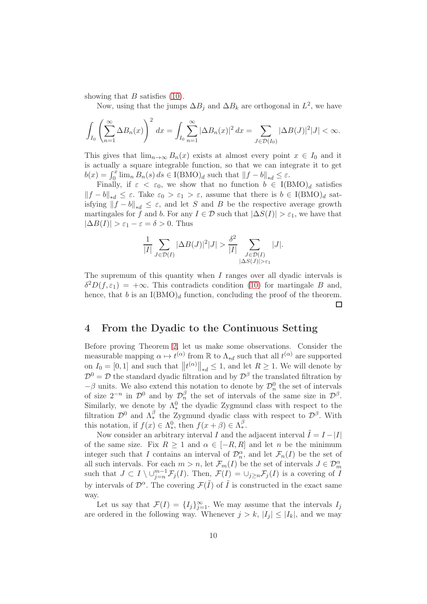showing that  $B$  satisfies  $(10)$ .

Now, using that the jumps  $\Delta B_j$  and  $\Delta B_k$  are orthogonal in  $L^2$ , we have

$$
\int_{I_0} \left(\sum_{n=1}^{\infty} \Delta B_n(x)\right)^2 dx = \int_{I_0} \sum_{n=1}^{\infty} |\Delta B_n(x)|^2 dx = \sum_{J \in \mathcal{D}(I_0)} |\Delta B(J)|^2 |J| < \infty.
$$

This gives that  $\lim_{n\to\infty} B_n(x)$  exists at almost every point  $x \in I_0$  and it is actually a square integrable function, so that we can integrate it to get  $b(x) = \int_0^x \lim_n B_n(s) ds \in I(BMO)_d$  such that  $||f - b||_{*d} \leq \varepsilon$ .

Finally, if  $\varepsilon < \varepsilon_0$ , we show that no function  $b \in I(BMO)_d$  satisfies  $||f - b||_{*d} \leq \varepsilon$ . Take  $\varepsilon_0 > \varepsilon_1 > \varepsilon$ , assume that there is  $b \in I(BMO)_d$  satisfying  $||f - b||_{*d} \leq \varepsilon$ , and let S and B be the respective average growth martingales for f and b. For any  $I \in \mathcal{D}$  such that  $|\Delta S(I)| > \varepsilon_1$ , we have that  $|\Delta B(I)| > \varepsilon_1 - \varepsilon = \delta > 0$ . Thus

$$
\frac{1}{|I|} \sum_{J \in \mathcal{D}(I)} |\Delta B(J)|^2 |J| > \frac{\delta^2}{|I|} \sum_{\substack{J \in \mathcal{D}(I) \\ |\Delta S(J)| > \varepsilon_1}} |J|.
$$

The supremum of this quantity when I ranges over all dyadic intervals is  $\delta^2 D(f, \varepsilon_1) = +\infty$ . This contradicts condition [\(10\)](#page-8-3) for martingale B and, hence, that b is an  $I(BMO)<sub>d</sub>$  function, concluding the proof of the theorem.  $\Box$ 

#### <span id="page-9-0"></span>4 From the Dyadic to the Continuous Setting

Before proving Theorem [2,](#page-3-0) let us make some observations. Consider the measurable mapping  $\alpha \mapsto t^{(\alpha)}$  from R to  $\Lambda_{*d}$  such that all  $t^{(\alpha)}$  are supported on  $I_0 = [0, 1]$  and such that  $||t^{(\alpha)}||_{*d} \leq 1$ , and let  $R \geq 1$ . We will denote by  $\mathcal{D}^0 = \mathcal{D}$  the standard dyadic filtration and by  $\mathcal{D}^{\beta}$  the translated filtration by  $-\beta$  units. We also extend this notation to denote by  $\mathcal{D}_n^0$  the set of intervals of size  $2^{-n}$  in  $\mathcal{D}^0$  and by  $\mathcal{D}_n^{\beta}$  the set of intervals of the same size in  $\mathcal{D}^{\beta}$ . Similarly, we denote by  $\Lambda_*^0$  the dyadic Zygmund class with respect to the filtration  $\mathcal{D}^0$  and  $\Lambda^{\beta}_*$  the Zygmund dyadic class with respect to  $\mathcal{D}^{\beta}$ . With this notation, if  $f(x) \in \Lambda_*^0$ , then  $f(x+\beta) \in \Lambda_*^\beta$ .

Now consider an arbitrary interval I and the adjacent interval  $\overline{I} = I - |I|$ of the same size. Fix  $R > 1$  and  $\alpha \in [-R, R]$  and let n be the minimum integer such that I contains an interval of  $\mathcal{D}_n^{\alpha}$ , and let  $\mathcal{F}_n(I)$  be the set of all such intervals. For each  $m > n$ , let  $\mathcal{F}_m(I)$  be the set of intervals  $J \in \mathcal{D}_m^{\alpha}$ <br>such that  $J \subset I \setminus \cup_{j=n}^{m-1} \mathcal{F}_j(I)$ . Then,  $\mathcal{F}(I) = \cup_{j \ge n} \mathcal{F}_j(I)$  is a covering of I by intervals of  $\mathcal{D}^{\alpha}$ . The covering  $\mathcal{F}(\tilde{I})$  of  $\tilde{I}$  is constructed in the exact same way.

Let us say that  $\mathcal{F}(I) = \{I_j\}_{j=1}^{\infty}$ . We may assume that the intervals  $I_j$ are ordered in the following way. Whenever  $j > k$ ,  $|I_j| \leq |I_k|$ , and we may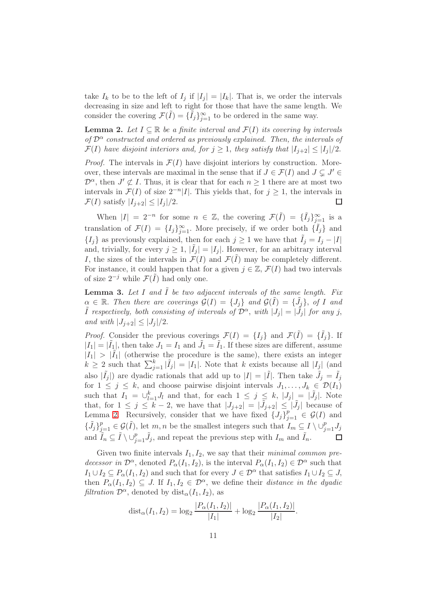take  $I_k$  to be to the left of  $I_j$  if  $|I_j| = |I_k|$ . That is, we order the intervals decreasing in size and left to right for those that have the same length. We consider the covering  $\mathcal{F}(\tilde{I}) = {\{\tilde{I}_j\}}_{j=1}^{\infty}$  to be ordered in the same way.

<span id="page-10-0"></span>**Lemma 2.** Let  $I \subseteq \mathbb{R}$  be a finite interval and  $\mathcal{F}(I)$  its covering by intervals of  $\mathcal{D}^{\alpha}$  constructed and ordered as previously explained. Then, the intervals of  $\mathcal{F}(I)$  have disjoint interiors and, for  $j \geq 1$ , they satisfy that  $|I_{j+2}| \leq |I_j|/2$ .

*Proof.* The intervals in  $\mathcal{F}(I)$  have disjoint interiors by construction. Moreover, these intervals are maximal in the sense that if  $J \in \mathcal{F}(I)$  and  $J \subsetneq J' \in$  $\mathcal{D}^{\alpha}$ , then  $J' \not\subset I$ . Thus, it is clear that for each  $n \geq 1$  there are at most two intervals in  $\mathcal{F}(I)$  of size  $2^{-n}|I|$ . This yields that, for  $j \geq 1$ , the intervals in  $\mathcal{F}(I)$  satisfy  $|I_{j+2}| \leq |I_j|/2$ . П

When  $|I| = 2^{-n}$  for some  $n \in \mathbb{Z}$ , the covering  $\mathcal{F}(\tilde{I}) = {\{\tilde{I}_j\}}_{j=1}^{\infty}$  is a translation of  $\mathcal{F}(I) = \{I_j\}_{j=1}^{\infty}$ . More precisely, if we order both  $\{\tilde{I}_j\}$  and  ${I_i}$  as previously explained, then for each  $j \geq 1$  we have that  $\tilde{I}_j = I_j - |I|$ and, trivially, for every  $j \geq 1$ ,  $|\tilde{I}_j| = |I_j|$ . However, for an arbitrary interval I, the sizes of the intervals in  $\mathcal{F}(I)$  and  $\mathcal{F}(\tilde{I})$  may be completely different. For instance, it could happen that for a given  $j \in \mathbb{Z}$ ,  $\mathcal{F}(I)$  had two intervals of size  $2^{-j}$  while  $\mathcal{F}(\tilde{I})$  had only one.

<span id="page-10-1"></span>**Lemma 3.** Let I and  $\tilde{I}$  be two adjacent intervals of the same length. Fix  $\alpha \in \mathbb{R}$ . Then there are coverings  $\mathcal{G}(I) = \{J_j\}$  and  $\mathcal{G}(\tilde{I}) = \{\tilde{J}_j\}$ , of I and  $\tilde{I}$  respectively, both consisting of intervals of  $\mathcal{D}^{\alpha}$ , with  $|J_j| = |\tilde{J}_j|$  for any j, and with  $|J_{i+2}| \leq |J_i|/2$ .

*Proof.* Consider the previous coverings  $\mathcal{F}(I) = \{I_j\}$  and  $\mathcal{F}(\tilde{I}) = \{\tilde{I}_j\}$ . If  $|I_1| = |\tilde{I}_1|$ , then take  $J_1 = I_1$  and  $\tilde{J}_1 = \tilde{I}_1$ . If these sizes are different, assume  $|I_1| > |\tilde{I_1}|$  (otherwise the procedure is the same), there exists an integer  $k \geq 2$  such that  $\sum_{j=1}^k |\tilde{I}_j| = |I_1|$ . Note that k exists because all  $|I_j|$  (and also  $|\tilde{I}_j|$  are dyadic rationals that add up to  $|I| = |\tilde{I}|$ . Then take  $\tilde{J}_j = \tilde{I}_j$ for  $1 \leq j \leq k$ , and choose pairwise disjoint intervals  $J_1, \ldots, J_k \in \mathcal{D}(I_1)$ such that  $I_1 = \bigcup_{l=1}^k J_l$  and that, for each  $1 \leq j \leq k$ ,  $\big|J_j\big| = \big|\tilde{J}_j\big|$ . Note that, for  $1 \leq j \leq k-2$ , we have that  $|J_{j+2}| = |\tilde{J}_{j+2}| \leq |\tilde{J}_j|$  because of Lemma [2.](#page-10-0) Recursively, consider that we have fixed  $\{J_j\}_{j=1}^p \in \mathcal{G}(I)$  and  $\{\tilde{J}_j\}_{j=1}^p\in\mathcal{G}(\tilde{I}),$  let  $m,n$  be the smallest integers such that  $I_m\subseteq I\setminus\cup_{j=1}^p J_j$ and  $\tilde{I}_n \subseteq \tilde{I} \setminus \cup_{j=1}^p \tilde{J}_j$ , and repeat the previous step with  $I_m$  and  $\tilde{I}_n$ .  $\Box$ 

Given two finite intervals  $I_1, I_2$ , we say that their *minimal common pre*decessor in  $\mathcal{D}^{\alpha}$ , denoted  $P_{\alpha}(I_1, I_2)$ , is the interval  $P_{\alpha}(I_1, I_2) \in \mathcal{D}^{\alpha}$  such that  $I_1 \cup I_2 \subseteq P_\alpha(I_1, I_2)$  and such that for every  $J \in \mathcal{D}^\alpha$  that satisfies  $I_1 \cup I_2 \subseteq J$ , then  $P_{\alpha}(I_1, I_2) \subseteq J$ . If  $I_1, I_2 \in \mathcal{D}^{\alpha}$ , we define their *distance in the dyadic filtration*  $\mathcal{D}^{\alpha}$ , denoted by dist<sub> $\alpha$ </sub> $(I_1, I_2)$ , as

$$
dist_{\alpha}(I_1, I_2) = \log_2 \frac{|P_{\alpha}(I_1, I_2)|}{|I_1|} + \log_2 \frac{|P_{\alpha}(I_1, I_2)|}{|I_2|}.
$$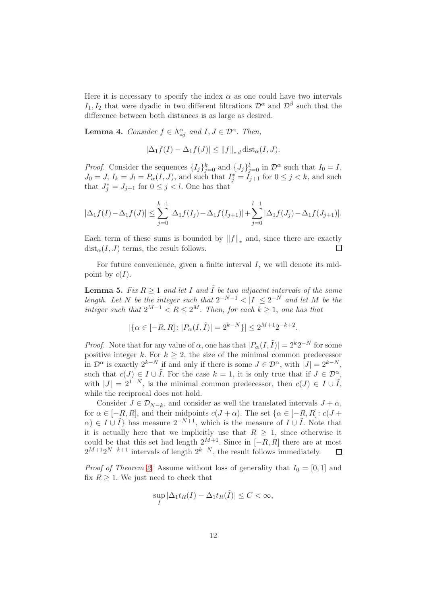Here it is necessary to specify the index  $\alpha$  as one could have two intervals  $I_1, I_2$  that were dyadic in two different filtrations  $\mathcal{D}^{\alpha}$  and  $\mathcal{D}^{\beta}$  such that the difference between both distances is as large as desired.

<span id="page-11-0"></span>**Lemma 4.** Consider  $f \in \Lambda_{*d}^{\alpha}$  and  $I, J \in \mathcal{D}^{\alpha}$ . Then,

$$
|\Delta_1 f(I) - \Delta_1 f(J)| \le ||f||_{*d} \operatorname{dist}_{\alpha}(I, J).
$$

*Proof.* Consider the sequences  $\{I_j\}_{j=0}^k$  and  $\{J_j\}_{j=0}^l$  in  $\mathcal{D}^{\alpha}$  such that  $I_0 = I$ ,  $J_0 = J$ ,  $I_k = J_l = P_\alpha(I, J)$ , and such that  $I_j^* = I_{j+1}$  for  $0 \le j < k$ , and such that  $J_j^* = J_{j+1}$  for  $0 \le j < l$ . One has that

$$
|\Delta_1 f(I) - \Delta_1 f(J)| \le \sum_{j=0}^{k-1} |\Delta_1 f(I_j) - \Delta_1 f(I_{j+1})| + \sum_{j=0}^{l-1} |\Delta_1 f(J_j) - \Delta_1 f(J_{j+1})|.
$$

Each term of these sums is bounded by  $||f||_*$  and, since there are exactly  $dist_{\alpha}(I, J)$  terms, the result follows.  $\Box$ 

For future convenience, given a finite interval  $I$ , we will denote its midpoint by  $c(I)$ .

<span id="page-11-1"></span>**Lemma 5.** Fix  $R \geq 1$  and let I and  $\tilde{I}$  be two adjacent intervals of the same length. Let N be the integer such that  $2^{-N-1} < |I| \leq 2^{-N}$  and let M be the integer such that  $2^{M-1} < R \leq 2^M$ . Then, for each  $k \geq 1$ , one has that

$$
|\{\alpha \in [-R, R] : |P_{\alpha}(I, \tilde{I})| = 2^{k-N}\}| \le 2^{M+1}2^{-k+2}.
$$

*Proof.* Note that for any value of  $\alpha$ , one has that  $|P_{\alpha}(I, \tilde{I})| = 2^{k}2^{-N}$  for some positive integer k. For  $k \geq 2$ , the size of the minimal common predecessor in  $\mathcal{D}^{\alpha}$  is exactly  $2^{k-N}$  if and only if there is some  $J \in \mathcal{D}^{\alpha}$ , with  $|J| = 2^{k-N}$ , such that  $c(J) \in I \cup \tilde{I}$ . For the case  $k = 1$ , it is only true that if  $J \in \mathcal{D}^{\alpha}$ , with  $|J| = 2^{1-N}$ , is the minimal common predecessor, then  $c(J) \in I \cup \tilde{I}$ , while the reciprocal does not hold.

Consider  $J \in \mathcal{D}_{N-k}$ , and consider as well the translated intervals  $J + \alpha$ , for  $\alpha \in [-R, R]$ , and their midpoints  $c(J + \alpha)$ . The set  $\{\alpha \in [-R, R] : c(J + \alpha)$  $\alpha$ )  $\in I \cup \tilde{I}$  has measure  $2^{-N+1}$ , which is the measure of  $I \cup \tilde{I}$ . Note that it is actually here that we implicitly use that  $R \geq 1$ , since otherwise it could be that this set had length  $2^{M+1}$ . Since in  $[-R, R]$  there are at most  $2^{M+1}2^{N-k+1}$  intervals of length  $2^{k-N}$ , the result follows immediately.  $\Box$ 

*Proof of Theorem [2.](#page-3-0)* Assume without loss of generality that  $I_0 = [0, 1]$  and fix  $R \geq 1$ . We just need to check that

$$
\sup_{I} |\Delta_1 t_R(I) - \Delta_1 t_R(\tilde{I})| \le C < \infty,
$$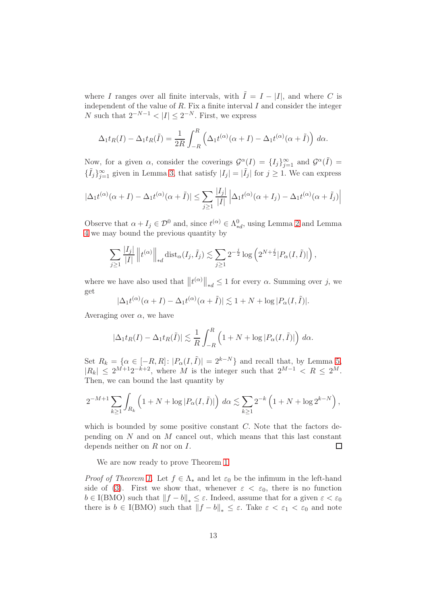where I ranges over all finite intervals, with  $\tilde{I} = I - |I|$ , and where C is independent of the value of  $R$ . Fix a finite interval  $I$  and consider the integer N such that  $2^{-N-1} < |I| \leq 2^{-N}$ . First, we express

$$
\Delta_1 t_R(I) - \Delta_1 t_R(\tilde{I}) = \frac{1}{2R} \int_{-R}^{R} \left( \Delta_1 t^{(\alpha)}(\alpha + I) - \Delta_1 t^{(\alpha)}(\alpha + \tilde{I}) \right) d\alpha.
$$

Now, for a given  $\alpha$ , consider the coverings  $\mathcal{G}^{\alpha}(I) = \{I_j\}_{j=1}^{\infty}$  and  $\mathcal{G}^{\alpha}(\tilde{I}) =$  $\{\tilde{I}_j\}_{j=1}^{\infty}$  given in Lemma [3,](#page-10-1) that satisfy  $|I_j| = |\tilde{I}_j|$  for  $j \geq 1$ . We can express

$$
|\Delta_1 t^{(\alpha)}(\alpha + I) - \Delta_1 t^{(\alpha)}(\alpha + \tilde{I})| \le \sum_{j \ge 1} \frac{|I_j|}{|I|} |\Delta_1 t^{(\alpha)}(\alpha + I_j) - \Delta_1 t^{(\alpha)}(\alpha + \tilde{I}_j)|
$$

Observe that  $\alpha + I_j \in \mathcal{D}^0$  and, since  $t^{(\alpha)} \in \Lambda^0_{*d}$ , using Lemma [2](#page-10-0) and Lemma [4](#page-11-0) we may bound the previous quantity by

$$
\sum_{j\geq 1} \frac{|I_j|}{|I|} ||t^{(\alpha)}||_{*d} \operatorname{dist}_{\alpha}(I_j, \tilde{I}_j) \lesssim \sum_{j\geq 1} 2^{-\frac{j}{2}} \log \left(2^{N+\frac{j}{2}} |P_{\alpha}(I, \tilde{I})|\right),
$$

where we have also used that  $||t^{(\alpha)}||_{*d} \leq 1$  for every  $\alpha$ . Summing over j, we get

$$
|\Delta_1 t^{(\alpha)}(\alpha + I) - \Delta_1 t^{(\alpha)}(\alpha + \tilde{I})| \lesssim 1 + N + \log |P_\alpha(I, \tilde{I})|.
$$

Averaging over  $\alpha$ , we have

$$
|\Delta_1 t_R(I) - \Delta_1 t_R(\tilde{I})| \lesssim \frac{1}{R} \int_{-R}^R \left(1 + N + \log|P_\alpha(I, \tilde{I})|\right) d\alpha.
$$

Set  $R_k = \{ \alpha \in [-R, R] : |P_\alpha(I, \tilde{I})| = 2^{k-N} \}$  and recall that, by Lemma [5,](#page-11-1)  $|R_k| \leq 2^{M+1}2^{-k+2}$ , where M is the integer such that  $2^{M-1} < R \leq 2^M$ . Then, we can bound the last quantity by

$$
2^{-M+1} \sum_{k \ge 1} \int_{R_k} \left( 1 + N + \log |P_\alpha(I, \tilde{I})| \right) d\alpha \lesssim \sum_{k \ge 1} 2^{-k} \left( 1 + N + \log 2^{k-N} \right),
$$

which is bounded by some positive constant  $C$ . Note that the factors depending on  $N$  and on  $M$  cancel out, which means that this last constant  $\Box$ depends neither on  $R$  nor on  $I$ .

We are now ready to prove Theorem [1.](#page-1-1)

*Proof of Theorem [1.](#page-1-1)* Let  $f \in \Lambda_*$  and let  $\varepsilon_0$  be the infimum in the left-hand side of [\(3\)](#page-1-2). First we show that, whenever  $\varepsilon < \varepsilon_0$ , there is no function  $b \in I(BMO)$  such that  $||f - b||_* \leq \varepsilon$ . Indeed, assume that for a given  $\varepsilon < \varepsilon_0$ there is  $b \in I(BMO)$  such that  $||f - b||_* \leq \varepsilon$ . Take  $\varepsilon < \varepsilon_1 < \varepsilon_0$  and note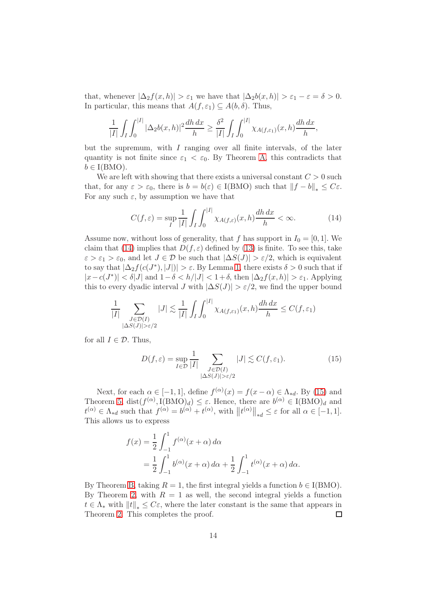that, whenever  $|\Delta_2 f(x, h)| > \varepsilon_1$  we have that  $|\Delta_2 b(x, h)| > \varepsilon_1 - \varepsilon = \delta > 0$ . In particular, this means that  $A(f, \varepsilon_1) \subseteq A(b, \delta)$ . Thus,

$$
\frac{1}{|I|} \int_I \int_0^{|I|} |\Delta_2 b(x, h)|^2 \frac{dh \, dx}{h} \ge \frac{\delta^2}{|I|} \int_I \int_0^{|I|} \chi_{A(f, \varepsilon_1)}(x, h) \frac{dh \, dx}{h},
$$

but the supremum, with  $I$  ranging over all finite intervals, of the later quantity is not finite since  $\varepsilon_1 < \varepsilon_0$ . By Theorem [A,](#page-1-0) this contradicts that  $b \in I(BMO)$ .

We are left with showing that there exists a universal constant  $C > 0$  such that, for any  $\varepsilon > \varepsilon_0$ , there is  $b = b(\varepsilon) \in I(BMO)$  such that  $||f - b||_* \leq C\varepsilon$ . For any such  $\varepsilon$ , by assumption we have that

<span id="page-13-0"></span>
$$
C(f,\varepsilon) = \sup_{I} \frac{1}{|I|} \int_{I} \int_{0}^{|I|} \chi_{A(f,\varepsilon)}(x,h) \frac{dh \, dx}{h} < \infty. \tag{14}
$$

Assume now, without loss of generality, that f has support in  $I_0 = [0, 1]$ . We claim that [\(14\)](#page-13-0) implies that  $D(f, \varepsilon)$  defined by [\(13\)](#page-8-4) is finite. To see this, take  $\varepsilon > \varepsilon_1 > \varepsilon_0$ , and let  $J \in \mathcal{D}$  be such that  $|\Delta S(J)| > \varepsilon/2$ , which is equivalent to say that  $|\Delta_2 f(c(J^*), |J|)| > \varepsilon$ . By Lemma [1,](#page-5-4) there exists  $\delta > 0$  such that if  $|x-c(J^*)| < \delta |J|$  and  $1-\delta < h/|J| < 1+\delta$ , then  $|\Delta_2 f(x, h)| > \varepsilon_1$ . Applying this to every dyadic interval J with  $|\Delta S(J)| > \varepsilon/2$ , we find the upper bound

$$
\frac{1}{|I|} \sum_{\substack{J \in \mathcal{D}(I) \\ |\Delta S(J)| > \varepsilon/2}} |J| \lesssim \frac{1}{|I|} \int_I \int_0^{|I|} \chi_{A(f,\varepsilon_1)}(x,h) \frac{dh \, dx}{h} \le C(f,\varepsilon_1)
$$

for all  $I \in \mathcal{D}$ . Thus,

<span id="page-13-1"></span>
$$
D(f,\varepsilon) = \sup_{I \in \mathcal{D}} \frac{1}{|I|} \sum_{\substack{J \in \mathcal{D}(I) \\ |\Delta S(J)| > \varepsilon/2}} |J| \lesssim C(f,\varepsilon_1). \tag{15}
$$

Next, for each  $\alpha \in [-1,1]$ , define  $f^{(\alpha)}(x) = f(x - \alpha) \in \Lambda_{*d}$ . By [\(15\)](#page-13-1) and Theorem [5,](#page-8-1) dist $(f^{(\alpha)}, I(BMO)_d) \leq \varepsilon$ . Hence, there are  $b^{(\alpha)} \in I(BMO)_d$  and  $t^{(\alpha)} \in \Lambda_{*d}$  such that  $f^{(\alpha)} = b^{(\alpha)} + t^{(\alpha)}$ , with  $||t^{(\alpha)}||_{*d} \leq \varepsilon$  for all  $\alpha \in [-1, 1]$ . This allows us to express

$$
f(x) = \frac{1}{2} \int_{-1}^{1} f^{(\alpha)}(x + \alpha) d\alpha
$$
  
=  $\frac{1}{2} \int_{-1}^{1} b^{(\alpha)}(x + \alpha) d\alpha + \frac{1}{2} \int_{-1}^{1} t^{(\alpha)}(x + \alpha) d\alpha.$ 

By Theorem [B,](#page-3-2) taking  $R = 1$ , the first integral yields a function  $b \in I(BMO)$ . By Theorem [2,](#page-3-0) with  $R = 1$  as well, the second integral yields a function  $t \in \Lambda_*$  with  $||t||_* \leq C\varepsilon$ , where the later constant is the same that appears in Theorem 2. This completes the proof. Theorem [2.](#page-3-0) This completes the proof.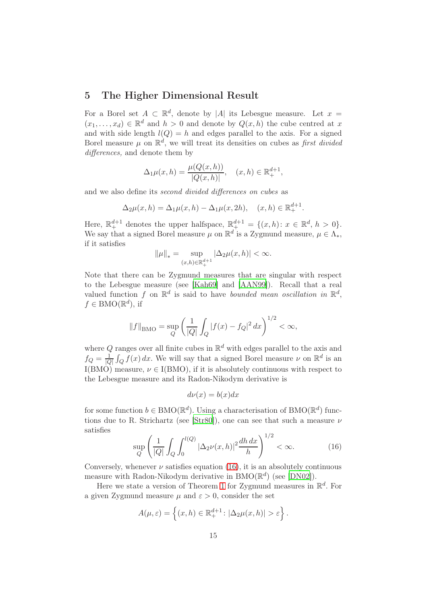### <span id="page-14-0"></span>5 The Higher Dimensional Result

For a Borel set  $A \subset \mathbb{R}^d$ , denote by |A| its Lebesgue measure. Let  $x =$  $(x_1, \ldots, x_d) \in \mathbb{R}^d$  and  $h > 0$  and denote by  $Q(x, h)$  the cube centred at x and with side length  $l(Q) = h$  and edges parallel to the axis. For a signed Borel measure  $\mu$  on  $\mathbb{R}^d$ , we will treat its densities on cubes as first divided differences, and denote them by

$$
\Delta_1 \mu(x, h) = \frac{\mu(Q(x, h))}{|Q(x, h)|}, \quad (x, h) \in \mathbb{R}^{d+1}_+,
$$

and we also define its second divided differences on cubes as

$$
\Delta_2 \mu(x, h) = \Delta_1 \mu(x, h) - \Delta_1 \mu(x, 2h), \quad (x, h) \in \mathbb{R}^{d+1}_+.
$$

Here,  $\mathbb{R}^{d+1}_+$  denotes the upper halfspace,  $\mathbb{R}^{d+1}_+ = \{(x,h): x \in \mathbb{R}^d, h > 0\}.$ We say that a signed Borel measure  $\mu$  on  $\mathbb{R}^d$  is a Zygmund measure,  $\mu \in \Lambda_*$ , if it satisfies

$$
\|\mu\|_{*} = \sup_{(x,h)\in\mathbb{R}_{+}^{d+1}} |\Delta_2\mu(x,h)| < \infty.
$$

Note that there can be Zygmund measures that are singular with respect to the Lebesgue measure (see [\[Kah69](#page-25-6)] and [\[AAN99](#page-24-1)]). Recall that a real valued function f on  $\mathbb{R}^d$  is said to have bounded mean oscillation in  $\mathbb{R}^d$ ,  $f \in \text{BMO}(\mathbb{R}^d)$ , if

$$
||f||_{\text{BMO}} = \sup_{Q} \left( \frac{1}{|Q|} \int_{Q} |f(x) - f_{Q}|^{2} dx \right)^{1/2} < \infty,
$$

where Q ranges over all finite cubes in  $\mathbb{R}^d$  with edges parallel to the axis and  $f_Q = \frac{1}{|C|}$  $\frac{1}{|Q|} \int_Q f(x) dx$ . We will say that a signed Borel measure  $\nu$  on  $\mathbb{R}^d$  is an I(BMO) measure,  $\nu \in I(BMO)$ , if it is absolutely continuous with respect to the Lebesgue measure and its Radon-Nikodym derivative is

$$
d\nu(x) = b(x)dx
$$

for some function  $b \in BMO(\mathbb{R}^d)$ . Using a characterisation of  $BMO(\mathbb{R}^d)$  func-tions due to R. Strichartz (see [\[Str80](#page-26-2)]), one can see that such a measure  $\nu$ satisfies

<span id="page-14-1"></span>
$$
\sup_{Q} \left( \frac{1}{|Q|} \int_{Q} \int_{0}^{l(Q)} |\Delta_2 \nu(x, h)|^2 \frac{dh \, dx}{h} \right)^{1/2} < \infty. \tag{16}
$$

Conversely, whenever  $\nu$  satisfies equation [\(16\)](#page-14-1), it is an absolutely continuous measure with Radon-Nikodym derivative in  $BMO(\mathbb{R}^d)$  (see [\[DN02](#page-25-8)]).

Here we state a version of Theorem [1](#page-1-1) for Zygmund measures in  $\mathbb{R}^d$ . For a given Zygmund measure  $\mu$  and  $\varepsilon > 0$ , consider the set

$$
A(\mu, \varepsilon) = \left\{ (x, h) \in \mathbb{R}^{d+1}_+ : |\Delta_2 \mu(x, h)| > \varepsilon \right\}.
$$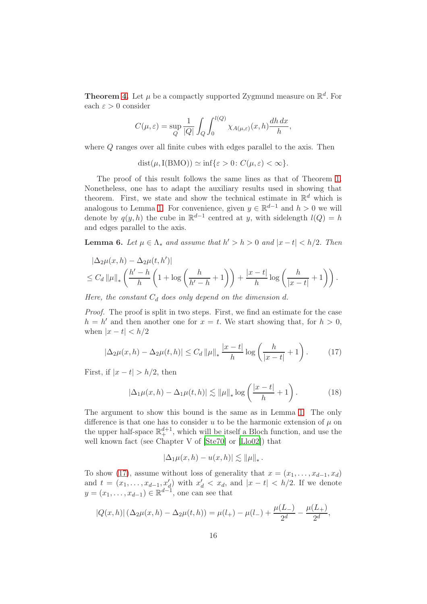**Theorem [4.](#page-4-0)** Let  $\mu$  be a compactly supported Zygmund measure on  $\mathbb{R}^d$ . For each  $\varepsilon > 0$  consider

$$
C(\mu, \varepsilon) = \sup_{Q} \frac{1}{|Q|} \int_{Q} \int_{0}^{l(Q)} \chi_{A(\mu, \varepsilon)}(x, h) \frac{dh \, dx}{h},
$$

where Q ranges over all finite cubes with edges parallel to the axis. Then

 $dist(\mu, I(BMO)) \simeq \inf{\varepsilon > 0: C(\mu, \varepsilon) < \infty}.$ 

The proof of this result follows the same lines as that of Theorem [1.](#page-1-1) Nonetheless, one has to adapt the auxiliary results used in showing that theorem. First, we state and show the technical estimate in  $\mathbb{R}^d$  which is analogous to Lemma [1.](#page-5-4) For convenience, given  $y \in \mathbb{R}^{d-1}$  and  $h > 0$  we will denote by  $q(y, h)$  the cube in  $\mathbb{R}^{d-1}$  centred at y, with sidelength  $l(Q) = h$ and edges parallel to the axis.

**Lemma 6.** Let  $\mu \in \Lambda_*$  and assume that  $h' > h > 0$  and  $|x - t| < h/2$ . Then

$$
|\Delta_2\mu(x,h) - \Delta_2\mu(t,h')|
$$
  
\n
$$
\leq C_d \|\mu\|_* \left(\frac{h'-h}{h}\left(1+\log\left(\frac{h}{h'-h}+1\right)\right) + \frac{|x-t|}{h}\log\left(\frac{h}{|x-t|}+1\right)\right).
$$

Here, the constant  $C_d$  does only depend on the dimension d.

Proof. The proof is split in two steps. First, we find an estimate for the case  $h = h'$  and then another one for  $x = t$ . We start showing that, for  $h > 0$ , when  $|x-t| < h/2$ 

<span id="page-15-0"></span>
$$
|\Delta_2 \mu(x, h) - \Delta_2 \mu(t, h)| \le C_d \|\mu\|_* \frac{|x - t|}{h} \log \left(\frac{h}{|x - t|} + 1\right). \tag{17}
$$

First, if  $|x-t| > h/2$ , then

<span id="page-15-1"></span>
$$
|\Delta_1 \mu(x, h) - \Delta_1 \mu(t, h)| \lesssim ||\mu||_* \log \left(\frac{|x - t|}{h} + 1\right). \tag{18}
$$

The argument to show this bound is the same as in Lemma [1.](#page-5-4) The only difference is that one has to consider u to be the harmonic extension of  $\mu$  on the upper half-space  $\mathbb{R}^{d+1}_+$ , which will be itself a Bloch function, and use the well known fact (see Chapter V of [\[Ste70](#page-26-1)] or [\[Llo02](#page-25-7)]) that

$$
|\Delta_1\mu(x,h)-u(x,h)|\lesssim \|\mu\|_*.
$$

To show [\(17\)](#page-15-0), assume without loss of generality that  $x = (x_1, \ldots, x_{d-1}, x_d)$ and  $t = (x_1, \ldots, x_{d-1}, x'_d)$  with  $x'_d < x_d$ , and  $|x - t| < h/2$ . If we denote  $y = (x_1, \ldots, x_{d-1}) \in \mathbb{R}^{d-1}$ , one can see that

$$
|Q(x,h)|\left(\Delta_2\mu(x,h)-\Delta_2\mu(t,h)\right)=\mu(l_+)-\mu(l_-)+\frac{\mu(L_-)}{2^d}-\frac{\mu(L_+)}{2^d},
$$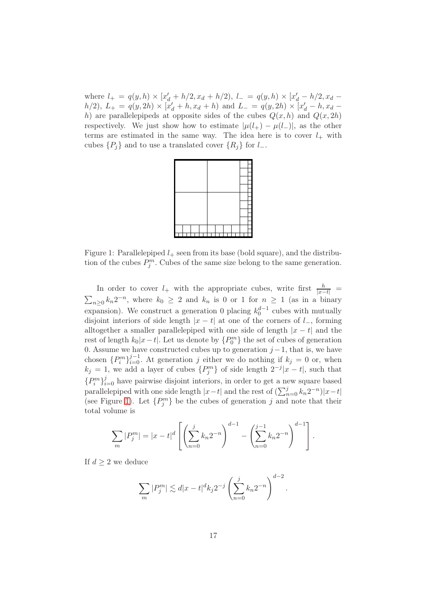where  $l_{+} = q(y, h) \times [x'_{d} + h/2, x_{d} + h/2], l_{-} = q(y, h) \times [x'_{d} - h/2, x_{d} - h/2]$  $h(2)$ ,  $L_{+} = q(y, 2h) \times [\dot{x}'_d + h, x_d + h)$  and  $L_{-} = q(y, 2h) \times [\dot{x}'_d - h, x_d - h]$ h) are parallelepipeds at opposite sides of the cubes  $Q(x, h)$  and  $Q(x, 2h)$ respectively. We just show how to estimate  $|\mu(l_+) - \mu(l_-)|$ , as the other terms are estimated in the same way. The idea here is to cover  $l_+$  with cubes  $\{P_i\}$  and to use a translated cover  $\{R_i\}$  for  $l_-\$ .



<span id="page-16-0"></span>Figure 1: Parallelepiped  $l_{+}$  seen from its base (bold square), and the distribution of the cubes  $P_j^m$ . Cubes of the same size belong to the same generation.

In order to cover  $l_+$  with the appropriate cubes, write first  $\frac{h}{|x-t|} =$  $\sum_{n\geq 0} k_n 2^{-n}$ , where  $k_0 \geq 2$  and  $k_n$  is 0 or 1 for  $n \geq 1$  (as in a binary expansion). We construct a generation 0 placing  $k_0^{d-1}$  cubes with mutually disjoint interiors of side length  $|x - t|$  at one of the corners of  $l_-,$  forming alltogether a smaller parallelepiped with one side of length  $|x - t|$  and the rest of length  $k_0|x-t|$ . Let us denote by  $\{P_0^m\}$  the set of cubes of generation 0. Assume we have constructed cubes up to generation  $j-1$ , that is, we have chosen  ${P_i^m}_{i=0}^{j-1}$ . At generation j either we do nothing if  $k_j = 0$  or, when  $k_j = 1$ , we add a layer of cubes  $\{P_j^m\}$  of side length  $2^{-j}|x-t|$ , such that  ${P_i^m}_{i=0}^j$  have pairwise disjoint interiors, in order to get a new square based parallelepiped with one side length  $|x-t|$  and the rest of  $(\sum_{n=0}^{j} k_n 2^{-n})|x-t|$ (see Figure [1\)](#page-16-0). Let  $\{P_j^m\}$  be the cubes of generation j and note that their total volume is

$$
\sum_{m} |P_j^m| = |x - t|^d \left[ \left( \sum_{n=0}^j k_n 2^{-n} \right)^{d-1} - \left( \sum_{n=0}^{j-1} k_n 2^{-n} \right)^{d-1} \right].
$$

If  $d \geq 2$  we deduce

$$
\sum_{m} |P_j^m| \lesssim d|x-t|^d k_j 2^{-j} \left(\sum_{n=0}^j k_n 2^{-n}\right)^{d-2}.
$$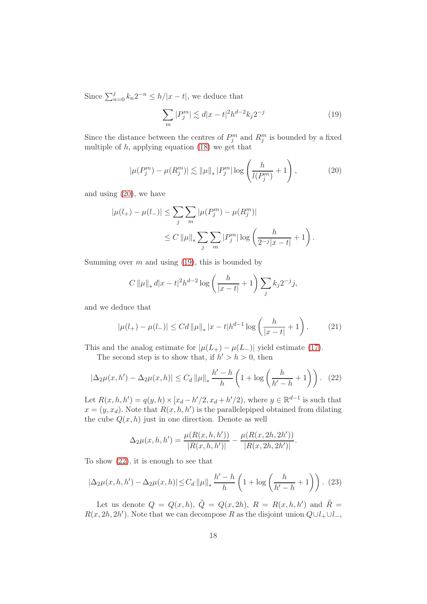Since  $\sum_{n=0}^{j} k_n 2^{-n} \leq h/|x-t|$ , we deduce that

<span id="page-17-1"></span>
$$
\sum_{m} |P_j^m| \lesssim d|x - t|^2 h^{d-2} k_j 2^{-j} \tag{19}
$$

Since the distance between the centres of  $P_j^m$  and  $R_j^m$  is bounded by a fixed multiple of  $h$ , applying equation  $(18)$  we get that

<span id="page-17-0"></span>
$$
|\mu(P_j^m) - \mu(R_j^m)| \lesssim ||\mu||_* |P_j^m| \log \left(\frac{h}{l(P_j^m)} + 1\right),\tag{20}
$$

and using [\(20\)](#page-17-0), we have

$$
|\mu(l_{+}) - \mu(l_{-})| \leq \sum_{j} \sum_{m} |\mu(P_j^m) - \mu(R_j^m)|
$$
  
 
$$
\leq C \|\mu\|_{*} \sum_{j} \sum_{m} |P_j^m| \log \left(\frac{h}{2^{-j}|x-t|} + 1\right).
$$

Summing over  $m$  and using [\(19\)](#page-17-1), this is bounded by

$$
C \|\mu\|_* d|x - t|^2 h^{d-2} \log \left(\frac{h}{|x - t|} + 1\right) \sum_j k_j 2^{-j} j,
$$

and we deduce that

<span id="page-17-3"></span>
$$
|\mu(l_+) - \mu(l_-)| \leq C d \|\mu\|_* |x - t| h^{d-1} \log \left( \frac{h}{|x - t|} + 1 \right). \tag{21}
$$

This and the analog estimate for  $|\mu(L_{+}) - \mu(L_{-})|$  yield estimate [\(17\)](#page-15-0).

The second step is to show that, if  $h' > h > 0$ , then

<span id="page-17-2"></span>
$$
|\Delta_2 \mu(x, h') - \Delta_2 \mu(x, h)| \le C_d \|\mu\|_* \frac{h' - h}{h} \left(1 + \log\left(\frac{h}{h' - h} + 1\right)\right). \tag{22}
$$

Let  $R(x, h, h') = q(y, h) \times [x_d - h'/2, x_d + h'/2)$ , where  $y \in \mathbb{R}^{d-1}$  is such that  $x = (y, x_d)$ . Note that  $R(x, h, h')$  is the parallelepiped obtained from dilating the cube  $Q(x, h)$  just in one direction. Denote as well

$$
\Delta_2 \mu(x, h, h') = \frac{\mu(R(x, h, h'))}{|R(x, h, h')|} - \frac{\mu(R(x, 2h, 2h'))}{|R(x, 2h, 2h')|}.
$$

To show [\(22\)](#page-17-2), it is enough to see that

<span id="page-17-4"></span>
$$
|\Delta_2 \mu(x, h, h') - \Delta_2 \mu(x, h)| \le C_d ||\mu||_* \frac{h' - h}{h} \left( 1 + \log \left( \frac{h}{h' - h} + 1 \right) \right). (23)
$$

Let us denote  $Q = Q(x, h), \,\tilde{Q} = Q(x, 2h), R = R(x, h, h')$  and  $\tilde{R} =$  $R(x, 2h, 2h')$ . Note that we can decompose R as the disjoint union  $Q \cup l_+ \cup l_-$ ,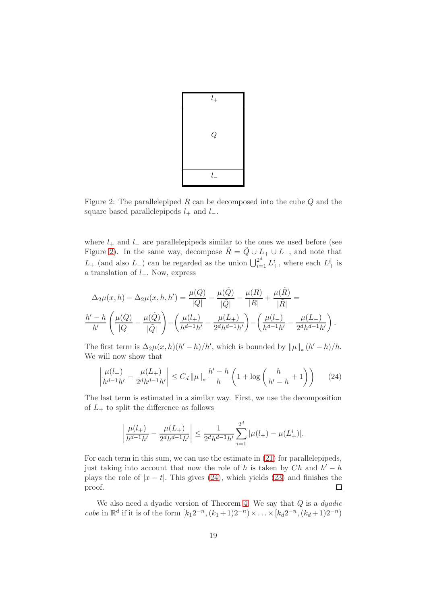

<span id="page-18-0"></span>Figure 2: The parallelepiped  $R$  can be decomposed into the cube  $Q$  and the square based parallelepipeds  $l_+$  and  $l_-$ .

where  $l_{+}$  and  $l_{-}$  are parallelepipeds similar to the ones we used before (see Figure [2\)](#page-18-0). In the same way, decompose  $\tilde{R} = \tilde{Q} \cup L_+ \cup L_-,$  and note that  $L_{+}$  (and also  $L_{-}$ ) can be regarded as the union  $\bigcup_{i=1}^{2^d} L^i_{+}$ , where each  $L^i_{+}$  is a translation of  $l_{+}$ . Now, express

$$
\Delta_2 \mu(x, h) - \Delta_2 \mu(x, h, h') = \frac{\mu(Q)}{|Q|} - \frac{\mu(\tilde{Q})}{|\tilde{Q}|} - \frac{\mu(R)}{|R|} + \frac{\mu(\tilde{R})}{|\tilde{R}|} =
$$
  

$$
\frac{h' - h}{h'} \left( \frac{\mu(Q)}{|Q|} - \frac{\mu(\tilde{Q})}{|\tilde{Q}|} \right) - \left( \frac{\mu(l_+)}{h^{d-1}h'} - \frac{\mu(L_+)}{2^dh^{d-1}h'} \right) - \left( \frac{\mu(l_-)}{h^{d-1}h'} - \frac{\mu(L_-)}{2^dh^{d-1}h'} \right).
$$

The first term is  $\Delta_2 \mu(x, h)(h'-h)/h'$ , which is bounded by  $\|\mu\|_*(h'-h)/h$ . We will now show that

<span id="page-18-1"></span>
$$
\left| \frac{\mu(l_+)}{h^{d-1}h'} - \frac{\mu(L_+)}{2^dh^{d-1}h'} \right| \le C_d \left\| \mu \right\|_* \frac{h'-h}{h} \left( 1 + \log \left( \frac{h}{h'-h} + 1 \right) \right) \tag{24}
$$

The last term is estimated in a similar way. First, we use the decomposition of  $L_+$  to split the difference as follows

$$
\left| \frac{\mu(l_+)}{h^{d-1}h'} - \frac{\mu(L_+)}{2^dh^{d-1}h'} \right| \le \frac{1}{2^dh^{d-1}h'} \sum_{i=1}^{2^d} |\mu(l_+) - \mu(L_+^i)|.
$$

For each term in this sum, we can use the estimate in [\(21\)](#page-17-3) for parallelepipeds, just taking into account that now the role of h is taken by  $Ch$  and  $h' - h$ plays the role of  $|x - t|$ . This gives [\(24\)](#page-18-1), which yields [\(23\)](#page-17-4) and finishes the proof.  $\Box$ 

We also need a dyadic version of Theorem [4.](#page-4-0) We say that  $Q$  is a *dyadic* cube in  $\mathbb{R}^d$  if it is of the form  $[k_1 2^{-n}, (k_1 + 1)2^{-n}) \times ... \times [k_d 2^{-n}, (k_d + 1)2^{-n})$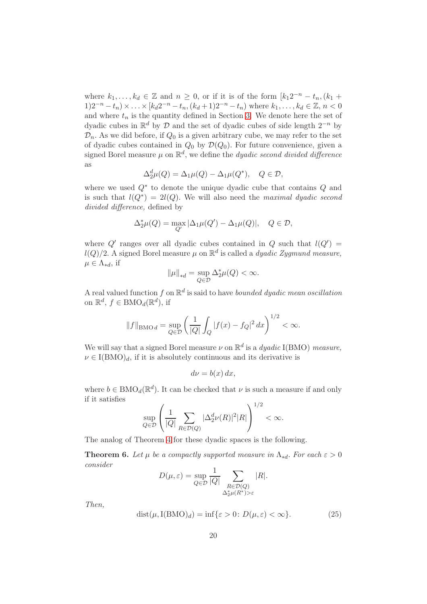where  $k_1, \ldots, k_d \in \mathbb{Z}$  and  $n \geq 0$ , or if it is of the form  $[k_1 2^{-n} - t_n, (k_1 +$  $(1)2^{-n} - t_n) \times \ldots \times [k_d 2^{-n} - t_n, (k_d + 1)2^{-n} - t_n)$  where  $k_1, \ldots, k_d \in \mathbb{Z}, n < 0$ and where  $t_n$  is the quantity defined in Section [3.](#page-6-0) We denote here the set of dyadic cubes in  $\mathbb{R}^d$  by  $\mathcal D$  and the set of dyadic cubes of side length  $2^{-n}$  by  $\mathcal{D}_n$ . As we did before, if  $Q_0$  is a given arbitrary cube, we may refer to the set of dyadic cubes contained in  $Q_0$  by  $\mathcal{D}(Q_0)$ . For future convenience, given a signed Borel measure  $\mu$  on  $\mathbb{R}^d$ , we define the *dyadic second divided difference* as

$$
\Delta_2^d \mu(Q) = \Delta_1 \mu(Q) - \Delta_1 \mu(Q^*), \quad Q \in \mathcal{D},
$$

where we used  $Q^*$  to denote the unique dyadic cube that contains  $Q$  and is such that  $l(Q^*) = 2l(Q)$ . We will also need the maximal dyadic second divided difference, defined by

$$
\Delta_2^*\mu(Q) = \max_{Q'} |\Delta_1\mu(Q') - \Delta_1\mu(Q)|, \quad Q \in \mathcal{D},
$$

where Q' ranges over all dyadic cubes contained in Q such that  $l(Q') =$  $l(Q)/2$ . A signed Borel measure  $\mu$  on  $\mathbb{R}^d$  is called a *dyadic Zygmund measure*,  $\mu \in \Lambda_{*d}$ , if

$$
\|\mu\|_{*d} = \sup_{Q \in \mathcal{D}} \Delta_2^* \mu(Q) < \infty.
$$

A real valued function f on  $\mathbb{R}^d$  is said to have bounded dyadic mean oscillation on  $\mathbb{R}^d$ ,  $f \in \text{BMO}_d(\mathbb{R}^d)$ , if

$$
||f||_{\text{BMO }d} = \sup_{Q \in \mathcal{D}} \left( \frac{1}{|Q|} \int_Q |f(x) - f_Q|^2 \, dx \right)^{1/2} < \infty.
$$

We will say that a signed Borel measure  $\nu$  on  $\mathbb{R}^d$  is a *dyadic* I(BMO) measure,  $\nu \in I(BMO)<sub>d</sub>$ , if it is absolutely continuous and its derivative is

$$
d\nu = b(x) \, dx,
$$

where  $b \in BMO_d(\mathbb{R}^d)$ . It can be checked that  $\nu$  is such a measure if and only if it satisfies  $1/2$ 

$$
\sup_{Q \in \mathcal{D}} \left( \frac{1}{|Q|} \sum_{R \in \mathcal{D}(Q)} |\Delta_2^d \nu(R)|^2 |R| \right)^{1/2} < \infty.
$$

The analog of Theorem [4](#page-4-0) for these dyadic spaces is the following.

<span id="page-19-0"></span>**Theorem 6.** Let  $\mu$  be a compactly supported measure in  $\Lambda_{*d}$ . For each  $\varepsilon > 0$ consider

$$
D(\mu, \varepsilon) = \sup_{Q \in \mathcal{D}} \frac{1}{|Q|} \sum_{\substack{R \in \mathcal{D}(Q) \\ \Delta_2^* \mu(R^*) > \varepsilon}} |R|.
$$

Then,

<span id="page-19-1"></span>
$$
dist(\mu, I(BMO)d) = inf{\varepsilon > 0: D(\mu, \varepsilon) < \infty}.
$$
 (25)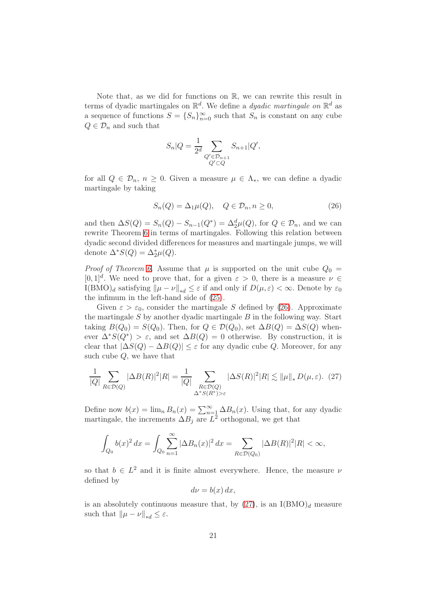Note that, as we did for functions on R, we can rewrite this result in terms of dyadic martingales on  $\mathbb{R}^d$ . We define a *dyadic martingale on*  $\mathbb{R}^d$  as a sequence of functions  $S = \{S_n\}_{n=0}^{\infty}$  such that  $S_n$  is constant on any cube  $Q \in \mathcal{D}_n$  and such that

$$
S_n|Q = \frac{1}{2^d} \sum_{\substack{Q' \in \mathcal{D}_{n+1} \\ Q' \subset Q}} S_{n+1}|Q',
$$

for all  $Q \in \mathcal{D}_n$ ,  $n \geq 0$ . Given a measure  $\mu \in \Lambda_*$ , we can define a dyadic martingale by taking

<span id="page-20-0"></span>
$$
S_n(Q) = \Delta_1 \mu(Q), \quad Q \in \mathcal{D}_n, n \ge 0,
$$
\n<sup>(26)</sup>

and then  $\Delta S(Q) = S_n(Q) - S_{n-1}(Q^*) = \Delta_2^d \mu(Q)$ , for  $Q \in \mathcal{D}_n$ , and we can rewrite Theorem [6](#page-19-0) in terms of martingales. Following this relation between dyadic second divided differences for measures and martingale jumps, we will denote  $\Delta^* S(Q) = \Delta^*_{2} \mu(Q)$ .

*Proof of Theorem [6.](#page-19-0)* Assume that  $\mu$  is supported on the unit cube  $Q_0 =$  $[0, 1]^d$ . We need to prove that, for a given  $\varepsilon > 0$ , there is a measure  $\nu \in$ I(BMO)<sub>d</sub> satisfying  $\|\mu - \nu\|_{ad} \leq \varepsilon$  if and only if  $D(\mu, \varepsilon) < \infty$ . Denote by  $\varepsilon_0$ the infimum in the left-hand side of [\(25\)](#page-19-1).

Given  $\varepsilon > \varepsilon_0$ , consider the martingale S defined by [\(26\)](#page-20-0). Approximate the martingale  $S$  by another dyadic martingale  $B$  in the following way. Start taking  $B(Q_0) = S(Q_0)$ . Then, for  $Q \in \mathcal{D}(Q_0)$ , set  $\Delta B(Q) = \Delta S(Q)$  whenever  $\Delta^*S(Q^*) > \varepsilon$ , and set  $\Delta B(Q) = 0$  otherwise. By construction, it is clear that  $|\Delta S(Q) - \Delta B(Q)| \leq \varepsilon$  for any dyadic cube Q. Moreover, for any such cube  $Q$ , we have that

<span id="page-20-1"></span>
$$
\frac{1}{|Q|} \sum_{R \in \mathcal{D}(Q)} |\Delta B(R)|^2 |R| = \frac{1}{|Q|} \sum_{\substack{R \in \mathcal{D}(Q) \\ \Delta^* S(R^*) > \varepsilon}} |\Delta S(R)|^2 |R| \lesssim \|\mu\|_* D(\mu, \varepsilon). \tag{27}
$$

Define now  $b(x) = \lim_{n} B_n(x) = \sum_{n=1}^{\infty} \Delta B_n(x)$ . Using that, for any dyadic martingale, the increments  $\Delta B_j$  are  $L^2$  orthogonal, we get that

$$
\int_{Q_0} b(x)^2 dx = \int_{Q_0} \sum_{n=1}^{\infty} |\Delta B_n(x)|^2 dx = \sum_{R \in \mathcal{D}(Q_0)} |\Delta B(R)|^2 |R| < \infty,
$$

so that  $b \in L^2$  and it is finite almost everywhere. Hence, the measure  $\nu$ defined by

$$
d\nu = b(x) \, dx,
$$

is an absolutely continuous measure that, by  $(27)$ , is an I(BMO)<sub>d</sub> measure such that  $\|\mu - \nu\|_{*d} \leq \varepsilon$ .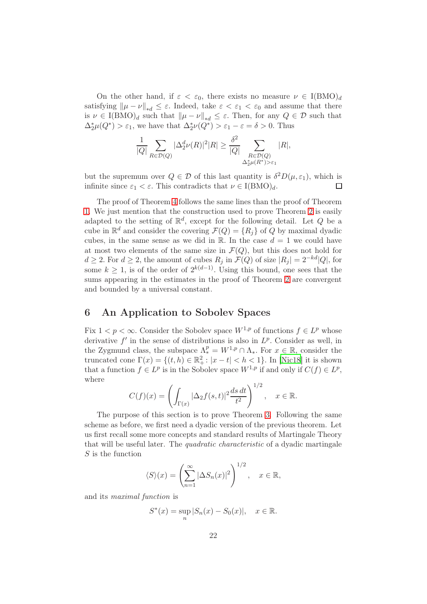On the other hand, if  $\varepsilon < \varepsilon_0$ , there exists no measure  $\nu \in I(BMO)_d$ satisfying  $\|\mu - \nu\|_{*d} \leq \varepsilon$ . Indeed, take  $\varepsilon < \varepsilon_1 < \varepsilon_0$  and assume that there is  $\nu \in I(BMO)_d$  such that  $\|\mu - \nu\|_{*d} \leq \varepsilon$ . Then, for any  $Q \in \mathcal{D}$  such that  $\Delta_2^*\mu(Q^*) > \varepsilon_1$ , we have that  $\Delta_2^*\nu(Q^*) > \varepsilon_1 - \varepsilon = \delta > 0$ . Thus

$$
\frac{1}{|Q|} \sum_{R \in \mathcal{D}(Q)} |\Delta_2^d \nu(R)|^2 |R| \ge \frac{\delta^2}{|Q|} \sum_{\substack{R \in \mathcal{D}(Q) \\ \Delta_2^* \mu(R^*) > \varepsilon_1}} |R|,
$$

but the supremum over  $Q \in \mathcal{D}$  of this last quantity is  $\delta^2 D(\mu, \varepsilon_1)$ , which is infinite since  $\varepsilon_1 < \varepsilon$ . This contradicts that  $\nu \in I(BMO)_d$ . П

The proof of Theorem [4](#page-4-0) follows the same lines than the proof of Theorem [1.](#page-1-1) We just mention that the construction used to prove Theorem [2](#page-3-0) is easily adapted to the setting of  $\mathbb{R}^d$ , except for the following detail. Let Q be a cube in  $\mathbb{R}^d$  and consider the covering  $\mathcal{F}(Q) = \{R_j\}$  of Q by maximal dyadic cubes, in the same sense as we did in R. In the case  $d = 1$  we could have at most two elements of the same size in  $\mathcal{F}(Q)$ , but this does not hold for  $d \geq 2$ . For  $d \geq 2$ , the amount of cubes  $R_j$  in  $\mathcal{F}(Q)$  of size  $|R_j| = 2^{-kd}|Q|$ , for some  $k \geq 1$ , is of the order of  $2^{k(d-1)}$ . Using this bound, one sees that the sums appearing in the estimates in the proof of Theorem [2](#page-3-0) are convergent and bounded by a universal constant.

## <span id="page-21-0"></span>6 An Application to Sobolev Spaces

Fix  $1 < p < \infty$ . Consider the Sobolev space  $W^{1,p}$  of functions  $f \in L^p$  whose derivative  $f'$  in the sense of distributions is also in  $L^p$ . Consider as well, in the Zygmund class, the subspace  $\Lambda_*^p = W^{1,p} \cap \Lambda_*$ . For  $x \in \mathbb{R}$ , consider the truncated cone  $\Gamma(x) = \{(t, h) \in \mathbb{R}^2_+ : |x - t| < h < 1\}$ . In [\[Nic18\]](#page-26-3) it is shown that a function  $f \in L^p$  is in the Sobolev space  $W^{1,p}$  if and only if  $C(f) \in L^p$ , where

$$
C(f)(x) = \left(\int_{\Gamma(x)} |\Delta_2 f(s,t)|^2 \frac{ds\,dt}{t^2}\right)^{1/2}, \quad x \in \mathbb{R}.
$$

The purpose of this section is to prove Theorem [3.](#page-3-1) Following the same scheme as before, we first need a dyadic version of the previous theorem. Let us first recall some more concepts and standard results of Martingale Theory that will be useful later. The quadratic characteristic of a dyadic martingale S is the function

$$
\langle S \rangle(x) = \left( \sum_{n=1}^{\infty} |\Delta S_n(x)|^2 \right)^{1/2}, \quad x \in \mathbb{R},
$$

and its maximal function is

$$
S^*(x) = \sup_n |S_n(x) - S_0(x)|, \quad x \in \mathbb{R}.
$$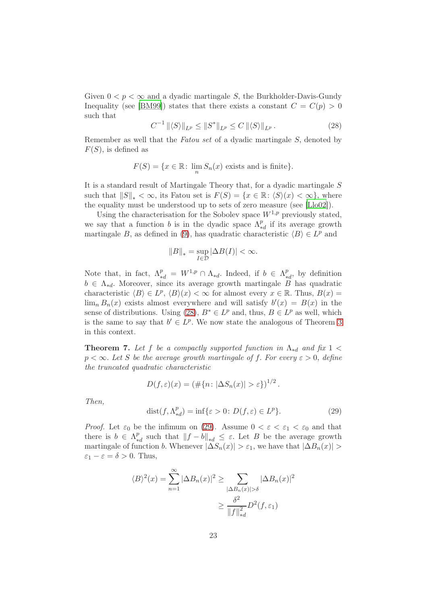Given  $0 < p < \infty$  and a dyadic martingale S, the Burkholder-Davis-Gundy Inequality (see [\[BM99\]](#page-25-9)) states that there exists a constant  $C = C(p) > 0$ such that

<span id="page-22-0"></span>
$$
C^{-1} \|\langle S \rangle\|_{L^p} \le \|S^*\|_{L^p} \le C \|\langle S \rangle\|_{L^p}.
$$
\n(28)

Remember as well that the Fatou set of a dyadic martingale S, denoted by  $F(S)$ , is defined as

$$
F(S) = \{ x \in \mathbb{R} \colon \lim_{n} S_n(x) \text{ exists and is finite} \}.
$$

It is a standard result of Martingale Theory that, for a dyadic martingale S such that  $||S||_* < \infty$ , its Fatou set is  $F(S) = \{x \in \mathbb{R} : \langle S \rangle (x) < \infty \}$ , where the equality must be understood up to sets of zero measure (see [\[Llo02](#page-25-7)]).

Using the characterisation for the Sobolev space  $W^{1,p}$  previously stated, we say that a function b is in the dyadic space  $\Lambda^p_*$  $\frac{p}{*d}$  if its average growth martingale B, as defined in [\(9\)](#page-7-0), has quadratic characteristic  $\langle B \rangle \in L^p$  and

$$
||B||_* = \sup_{I \in \mathcal{D}} |\Delta B(I)| < \infty.
$$

Note that, in fact,  $\Lambda_{*d}^p = W^{1,p} \cap \Lambda_{*d}$ . Indeed, if  $b \in \Lambda_*^p$  $_{*d}^p$ , by definition  $b \in \Lambda_{*d}$ . Moreover, since its average growth martingale B has quadratic characteristic  $\langle B \rangle \in L^p$ ,  $\langle B \rangle(x) < \infty$  for almost every  $x \in \mathbb{R}$ . Thus,  $B(x) =$  $\lim_{n} B_n(x)$  exists almost everywhere and will satisfy  $b'(x) = B(x)$  in the sense of distributions. Using [\(28\)](#page-22-0),  $B^* \in L^p$  and, thus,  $B \in L^p$  as well, which is the same to say that  $b' \in L^p$ . We now state the analogous of Theorem [3](#page-3-1) in this context.

<span id="page-22-2"></span>**Theorem 7.** Let f be a compactly supported function in  $\Lambda_{*d}$  and fix 1 <  $p < \infty$ . Let S be the average growth martingale of f. For every  $\varepsilon > 0$ , define the truncated quadratic characteristic

$$
D(f, \varepsilon)(x) = (\#\{n : |\Delta S_n(x)| > \varepsilon\})^{1/2}.
$$

Then,

<span id="page-22-1"></span>
$$
dist(f, \Lambda_{*d}^p) = \inf \{ \varepsilon > 0 \colon D(f, \varepsilon) \in L^p \}. \tag{29}
$$

*Proof.* Let  $\varepsilon_0$  be the infimum on [\(29\)](#page-22-1). Assume  $0 < \varepsilon < \varepsilon_1 < \varepsilon_0$  and that there is  $b \in \Lambda_*^p$ <sup>*p*</sup><sub>\*d</sub> such that  $||f - b||$ <sub>\*d</sub> ≤ ε. Let *B* be the average growth martingale of function b. Whenever  $|\Delta S_n(x)| > \varepsilon_1$ , we have that  $|\Delta B_n(x)| >$  $\varepsilon_1 - \varepsilon = \delta > 0$ . Thus,

$$
\langle B \rangle^2(x) = \sum_{n=1}^{\infty} |\Delta B_n(x)|^2 \ge \sum_{\substack{|\Delta B_n(x)| > \delta \\ \sum ||f||_{*d}^2}} |\Delta B_n(x)|^2
$$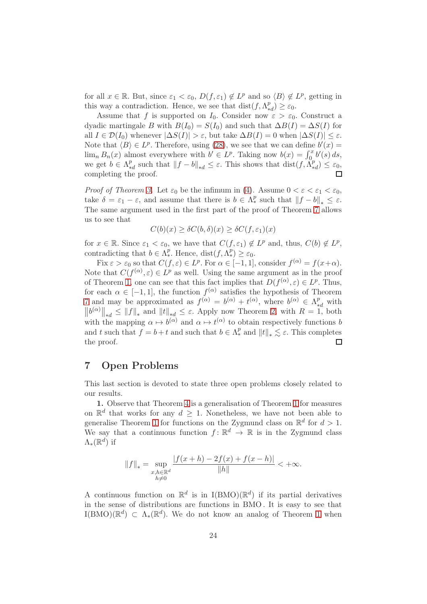for all  $x \in \mathbb{R}$ . But, since  $\varepsilon_1 < \varepsilon_0$ ,  $D(f, \varepsilon_1) \notin L^p$  and so  $\langle B \rangle \notin L^p$ , getting in this way a contradiction. Hence, we see that  $dist(f, \Lambda^p_*)$  $_{*d}^{p})\geq\varepsilon_{0}.$ 

Assume that f is supported on  $I_0$ . Consider now  $\varepsilon > \varepsilon_0$ . Construct a dyadic martingale B with  $B(I_0) = S(I_0)$  and such that  $\Delta B(I) = \Delta S(I)$  for all  $I \in \mathcal{D}(I_0)$  whenever  $|\Delta S(I)| > \varepsilon$ , but take  $\Delta B(I) = 0$  when  $|\Delta S(I)| \leq \varepsilon$ . Note that  $\langle B \rangle \in L^p$ . Therefore, using [\(28\)](#page-22-0), we see that we can define  $b'(x) =$  $\lim_{n} B_n(x)$  almost everywhere with  $b' \in L^p$ . Taking now  $b(x) = \int_0^x b'(s) ds$ , we get  $b \in \Lambda_*^p$  $_{*d}^{p}$  such that  $||f - b||_{*d} \leq \varepsilon$ . This shows that  $dist(f, \Lambda_*^{p})$  $_{*d}^{p}) \leq \varepsilon_{0},$ completing the proof.

*Proof of Theorem [3.](#page-3-1)* Let  $\varepsilon_0$  be the infimum in [\(4\)](#page-3-3). Assume  $0 < \varepsilon < \varepsilon_1 < \varepsilon_0$ , take  $\delta = \varepsilon_1 - \varepsilon$ , and assume that there is  $b \in \Lambda_*^p$  such that  $||f - b||_* \leq \varepsilon$ . The same argument used in the first part of the proof of Theorem [7](#page-22-2) allows us to see that

$$
C(b)(x) \ge \delta C(b,\delta)(x) \ge \delta C(f,\varepsilon_1)(x)
$$

for  $x \in \mathbb{R}$ . Since  $\varepsilon_1 < \varepsilon_0$ , we have that  $C(f, \varepsilon_1) \notin L^p$  and, thus,  $C(b) \notin L^p$ , contradicting that  $b \in \Lambda_*^p$ . Hence, dist $(f, \Lambda_*^p) \geq \varepsilon_0$ .

Fix  $\varepsilon > \varepsilon_0$  so that  $C(f, \varepsilon) \in L^p$ . For  $\alpha \in [-1, 1]$ , consider  $f^{(\alpha)} = f(x+\alpha)$ . Note that  $C(f^{(\alpha)}, \varepsilon) \in L^p$  as well. Using the same argument as in the proof of Theorem [1,](#page-1-1) one can see that this fact implies that  $D(f^{(\alpha)}, \varepsilon) \in L^p$ . Thus, for each  $\alpha \in [-1,1]$ , the function  $f^{(\alpha)}$  satisfies the hypothesis of Theorem [7](#page-22-2) and may be approximated as  $f^{(\alpha)} = b^{(\alpha)} + t^{(\alpha)}$ , where  $b^{(\alpha)} \in \Lambda^p_{*d}$  with  $||b^{(\alpha)}||_{*d} \leq ||f||_{*}$  and  $||t||_{*d} \leq \varepsilon$ . Apply now Theorem [2,](#page-3-0) with  $R = 1$ , both with the mapping  $\alpha \mapsto b^{(\alpha)}$  and  $\alpha \mapsto t^{(\alpha)}$  to obtain respectively functions b and t such that  $f = b + t$  and such that  $b \in \Lambda_*^p$  and  $||t||_* \lesssim \varepsilon$ . This completes the proof.

## <span id="page-23-0"></span>7 Open Problems

This last section is devoted to state three open problems closely related to our results.

1. Observe that Theorem [4](#page-4-0) is a generalisation of Theorem [1](#page-1-1) for measures on  $\mathbb{R}^d$  that works for any  $d \geq 1$ . Nonetheless, we have not been able to generalise Theorem [1](#page-1-1) for functions on the Zygmund class on  $\mathbb{R}^d$  for  $d > 1$ . We say that a continuous function  $f: \mathbb{R}^d \to \mathbb{R}$  is in the Zygmund class  $\Lambda_*({\mathbb R}^d)$  if

$$
||f||_* = \sup_{\substack{x, h \in \mathbb{R}^d \\ h \neq 0}} \frac{|f(x+h) - 2f(x) + f(x-h)|}{\|h\|} < +\infty.
$$

A continuous function on  $\mathbb{R}^d$  is in I(BMO)( $\mathbb{R}^d$ ) if its partial derivatives in the sense of distributions are functions in BMO . It is easy to see that  $I(BMO)(\mathbb{R}^d) \subset \Lambda_*(\mathbb{R}^d)$ . We do not know an analog of Theorem [1](#page-1-1) when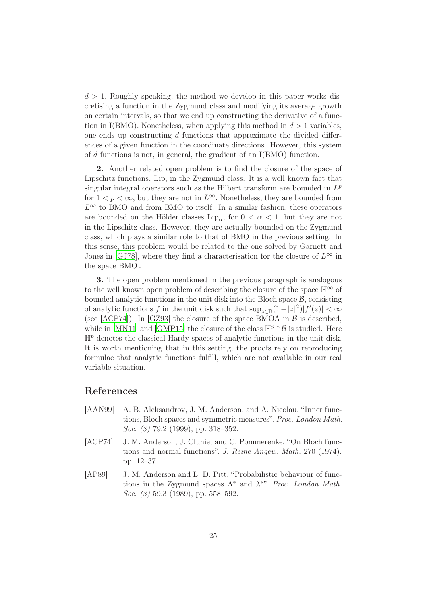$d > 1$ . Roughly speaking, the method we develop in this paper works discretising a function in the Zygmund class and modifying its average growth on certain intervals, so that we end up constructing the derivative of a function in I(BMO). Nonetheless, when applying this method in  $d > 1$  variables, one ends up constructing  $d$  functions that approximate the divided differences of a given function in the coordinate directions. However, this system of d functions is not, in general, the gradient of an I(BMO) function.

2. Another related open problem is to find the closure of the space of Lipschitz functions, Lip, in the Zygmund class. It is a well known fact that singular integral operators such as the Hilbert transform are bounded in  $L^p$ for  $1 < p < \infty$ , but they are not in  $L^{\infty}$ . Nonetheless, they are bounded from  $L^{\infty}$  to BMO and from BMO to itself. In a similar fashion, these operators are bounded on the Hölder classes  $\text{Lip}_{\alpha}$ , for  $0 < \alpha < 1$ , but they are not in the Lipschitz class. However, they are actually bounded on the Zygmund class, which plays a similar role to that of BMO in the previous setting. In this sense, this problem would be related to the one solved by Garnett and Jones in [\[GJ78](#page-25-10)], where they find a characterisation for the closure of  $L^{\infty}$  in the space BMO .

3. The open problem mentioned in the previous paragraph is analogous to the well known open problem of describing the closure of the space  $\mathbb{H}^{\infty}$  of bounded analytic functions in the unit disk into the Bloch space  $\mathcal{B}$ , consisting of analytic functions f in the unit disk such that  $\sup_{z \in \mathbb{D}} (1 - |z|^2)|f'(z)| < \infty$ (see [\[ACP74](#page-24-2)]). In [\[GZ93](#page-25-11)] the closure of the space BMOA in  $\beta$  is described, while in [\[MN11](#page-25-12)] and [\[GMP15](#page-25-13)] the closure of the class  $\mathbb{H}^p \cap \mathcal{B}$  is studied. Here  $\mathbb{H}^p$  denotes the classical Hardy spaces of analytic functions in the unit disk. It is worth mentioning that in this setting, the proofs rely on reproducing formulae that analytic functions fulfill, which are not available in our real variable situation.

## <span id="page-24-1"></span>References

- [AAN99] A. B. Aleksandrov, J. M. Anderson, and A. Nicolau. "Inner functions, Bloch spaces and symmetric measures". Proc. London Math. Soc. (3) 79.2 (1999), pp. 318–352.
- <span id="page-24-2"></span>[ACP74] J. M. Anderson, J. Clunie, and C. Pommerenke. "On Bloch functions and normal functions". J. Reine Angew. Math. 270 (1974), pp. 12–37.
- <span id="page-24-0"></span>[AP89] J. M. Anderson and L. D. Pitt. "Probabilistic behaviour of functions in the Zygmund spaces  $\Lambda^*$  and  $\lambda^{*}$ ". Proc. London Math. Soc. (3) 59.3 (1989), pp. 558–592.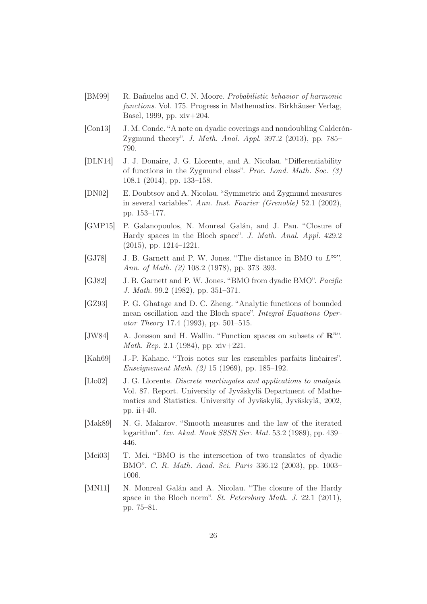- <span id="page-25-9"></span>[BM99] R. Bañuelos and C. N. Moore. Probabilistic behavior of harmonic functions. Vol. 175. Progress in Mathematics. Birkhäuser Verlag, Basel, 1999, pp. xiv+204.
- <span id="page-25-5"></span>[Con13] J. M. Conde. "A note on dyadic coverings and nondoubling Calderón-Zygmund theory". J. Math. Anal. Appl. 397.2 (2013), pp. 785– 790.
- <span id="page-25-1"></span>[DLN14] J. J. Donaire, J. G. Llorente, and A. Nicolau. "Differentiability of functions in the Zygmund class". Proc. Lond. Math. Soc. (3) 108.1 (2014), pp. 133–158.
- <span id="page-25-8"></span>[DN02] E. Doubtsov and A. Nicolau. "Symmetric and Zygmund measures in several variables". Ann. Inst. Fourier (Grenoble) 52.1 (2002), pp. 153–177.
- <span id="page-25-13"></span>[GMP15] P. Galanopoulos, N. Monreal Galán, and J. Pau. "Closure of Hardy spaces in the Bloch space". J. Math. Anal. Appl. 429.2 (2015), pp. 1214–1221.
- <span id="page-25-10"></span>[GJ78] J. B. Garnett and P. W. Jones. "The distance in BMO to  $L^{\infty}$ ". Ann. of Math. (2) 108.2 (1978), pp. 373–393.
- <span id="page-25-3"></span>[GJ82] J. B. Garnett and P. W. Jones. "BMO from dyadic BMO". Pacific J. Math. 99.2 (1982), pp. 351–371.
- <span id="page-25-11"></span>[GZ93] P. G. Ghatage and D. C. Zheng. "Analytic functions of bounded mean oscillation and the Bloch space". Integral Equations Operator Theory 17.4 (1993), pp. 501–515.
- <span id="page-25-2"></span>[JW84] A. Jonsson and H. Wallin. "Function spaces on subsets of  $\mathbb{R}^{n}$ ". Math. Rep. 2.1 (1984), pp. xiv+221.
- <span id="page-25-6"></span>[Kah69] J.-P. Kahane. "Trois notes sur les ensembles parfaits linéaires". Enseignement Math. (2) 15 (1969), pp. 185–192.
- <span id="page-25-7"></span>[Llo02] J. G. Llorente. Discrete martingales and applications to analysis. Vol. 87. Report. University of Jyväskylä Department of Mathematics and Statistics. University of Jyväskylä, Jyväskylä, 2002, pp. ii $+40$ .
- <span id="page-25-0"></span>[Mak89] N. G. Makarov. "Smooth measures and the law of the iterated logarithm". Izv. Akad. Nauk SSSR Ser. Mat. 53.2 (1989), pp. 439– 446.
- <span id="page-25-4"></span>[Mei03] T. Mei. "BMO is the intersection of two translates of dyadic BMO". C. R. Math. Acad. Sci. Paris 336.12 (2003), pp. 1003– 1006.
- <span id="page-25-12"></span>[MN11] N. Monreal Galán and A. Nicolau. "The closure of the Hardy space in the Bloch norm". St. Petersburg Math. J. 22.1 (2011), pp. 75–81.